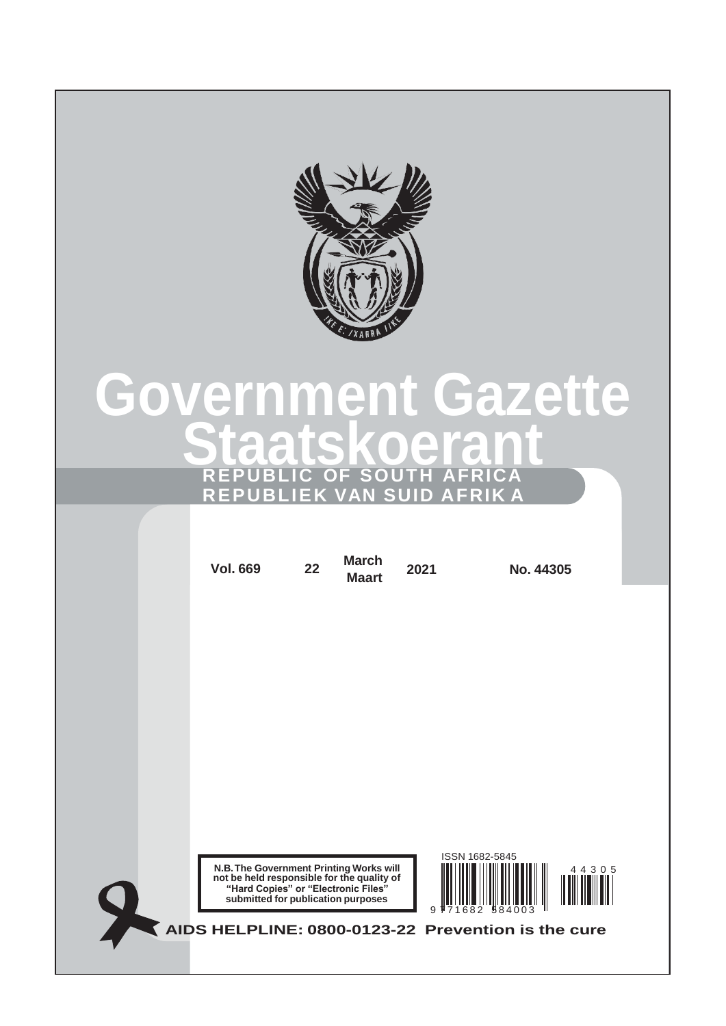

# **Staatskoerant Government Gazette REPUBLIC OF SOUTH AFRICA REPUBLIEK VAN SUID AFRIK A**

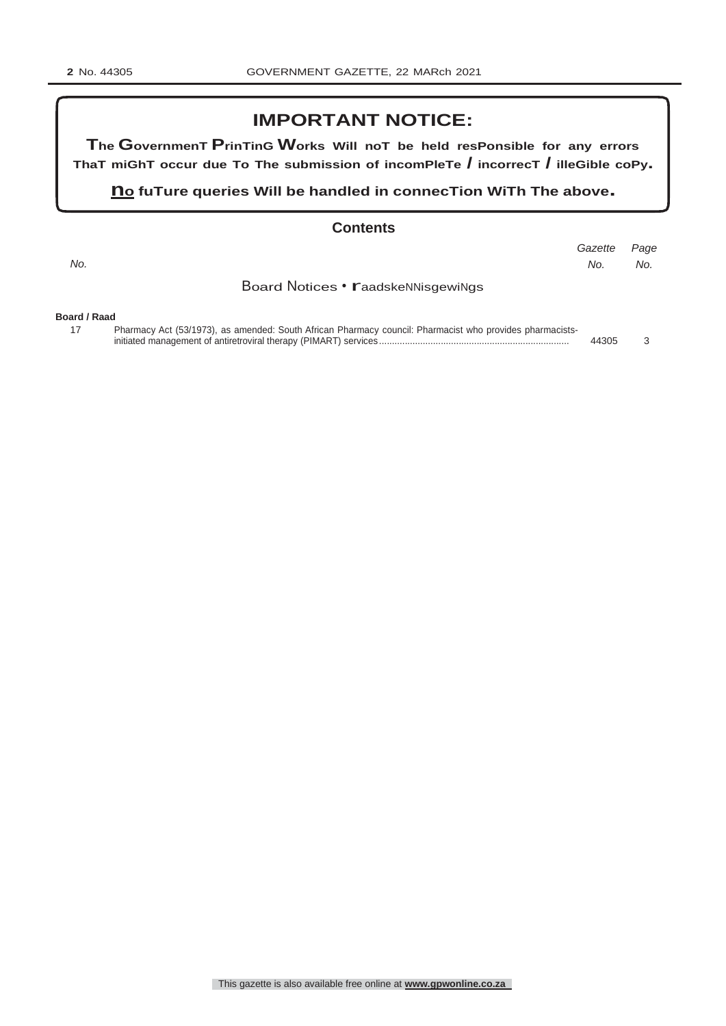# **IMPORTANT NOTICE:**

**The GovernmenT PrinTinG Works Will noT be held resPonsible for any errors ThaT miGhT occur due To The submission of incomPleTe / incorrecT / illeGible coPy.**

**n<sup>o</sup> fuTure queries Will be handled in connecTion WiTh The above.**

#### **Contents**

| No.          |                                                                                                          | Gazette<br>No. | Page<br>No. |
|--------------|----------------------------------------------------------------------------------------------------------|----------------|-------------|
|              | Board Notices • <b>Faadskennisgewings</b>                                                                |                |             |
| Board / Raad |                                                                                                          |                |             |
| 17           | Pharmacy Act (53/1973), as amended: South African Pharmacy council: Pharmacist who provides pharmacists- | 44305          |             |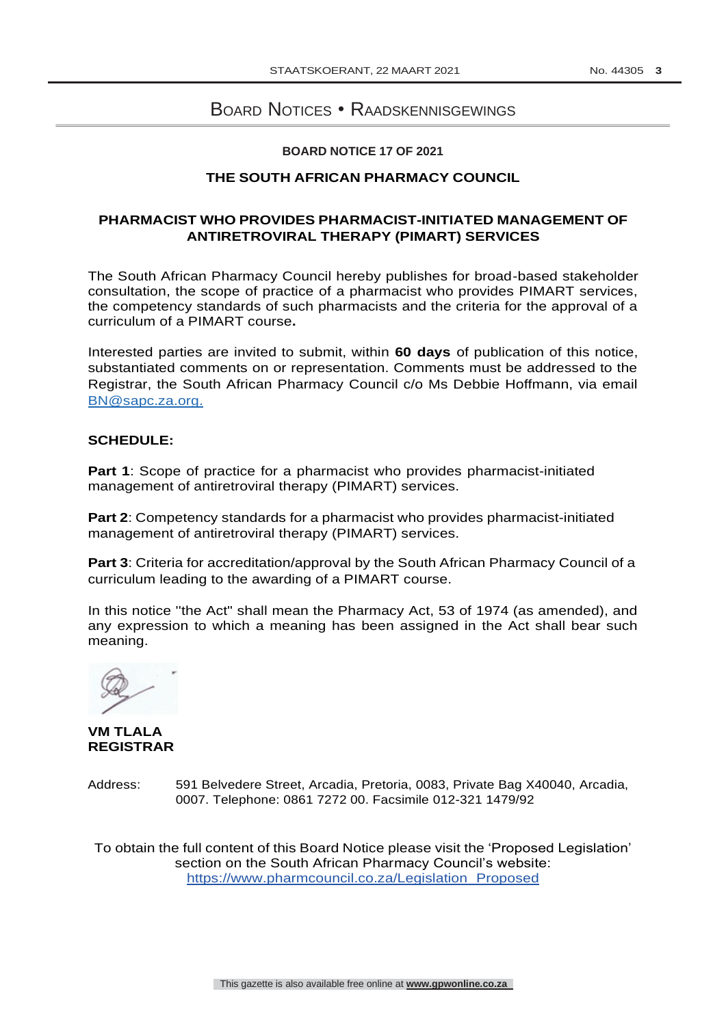# <span id="page-2-0"></span>BOARD NOTICES • RAADSKENNISGEWINGS

#### **BOARD NOTICE 17 OF 2021**

#### **THE SOUTH AFRICAN PHARMACY COUNCIL**

#### **PHARMACIST WHO PROVIDES PHARMACIST-INITIATED MANAGEMENT OF ANTIRETROVIRAL THERAPY (PIMART) SERVICES**

The South African Pharmacy Council hereby publishes for broad-based stakeholder consultation, the scope of practice of a pharmacist who provides PIMART services, the competency standards of such pharmacists and the criteria for the approval of a curriculum of a PIMART course**.**

Interested parties are invited to submit, within **60 days** of publication of this notice, substantiated comments on or representation. Comments must be addressed to the Registrar, the South African Pharmacy Council c/o Ms Debbie Hoffmann, via email [BN@sapc.za.org.](mailto:BN@sapc.za.org)

#### **SCHEDULE:**

**Part 1**: Scope of practice for a pharmacist who provides pharmacist-initiated management of antiretroviral therapy (PIMART) services.

**Part 2**: Competency standards for a pharmacist who provides pharmacist-initiated management of antiretroviral therapy (PIMART) services.

**Part 3**: Criteria for accreditation/approval by the South African Pharmacy Council of a curriculum leading to the awarding of a PIMART course.

In this notice ''the Act" shall mean the Pharmacy Act, 53 of 1974 (as amended), and any expression to which a meaning has been assigned in the Act shall bear such meaning.

**VM TLALA REGISTRAR**

Address: 591 Belvedere Street, Arcadia, Pretoria, 0083, Private Bag X40040, Arcadia, 0007. Telephone: 0861 7272 00. Facsimile 012-321 1479/92

To obtain the full content of this Board Notice please visit the 'Proposed Legislation' section on the South African Pharmacy Council's website: [https://www.pharmcouncil.co.za/Legislation\\_P](http://www.pharmcouncil.co.za/Legislation_Proposed)roposed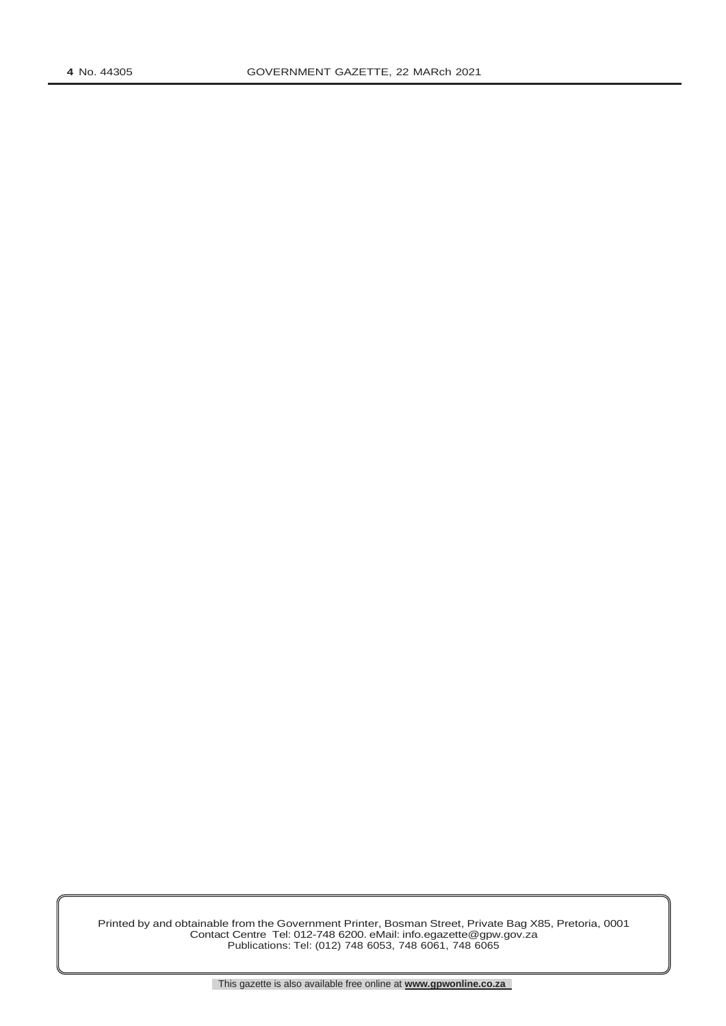Printed by and obtainable from the Government Printer, Bosman Street, Private Bag X85, Pretoria, 0001 Contact Centre Tel: 012-748 6200. eMail: [info.egazette@gpw.gov.za](mailto:info.egazette@gpw.gov.za) Publications: Tel: (012) 748 6053, 748 6061, 748 6065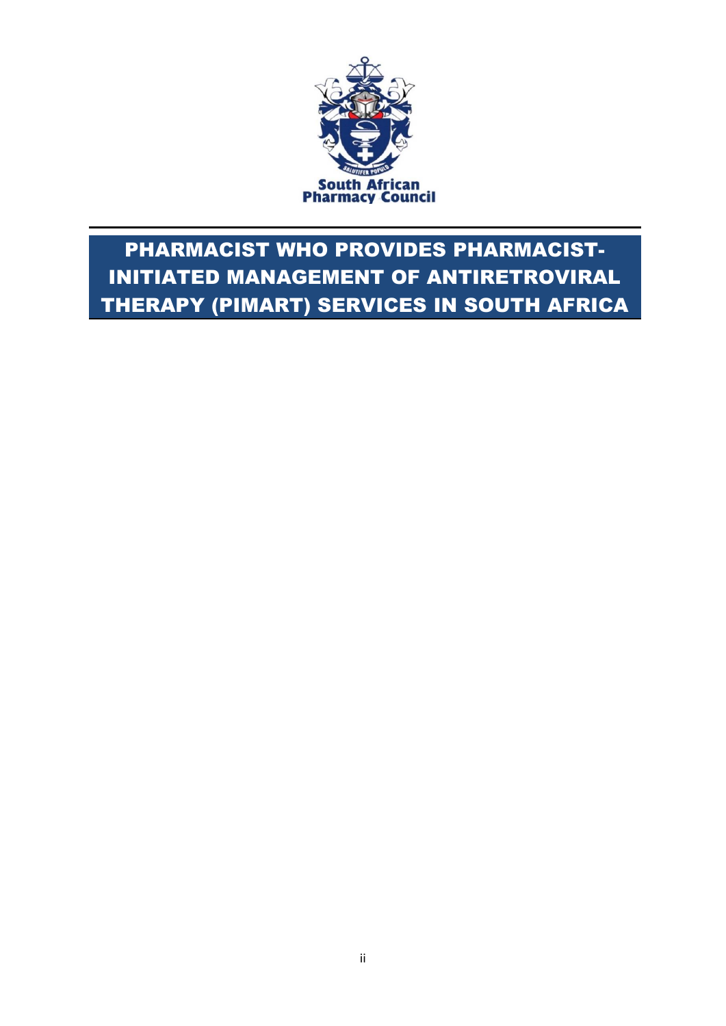

# PHARMACIST WHO PROVIDES PHARMACIST-INITIATED MANAGEMENT OF ANTIRETROVIRAL THERAPY (PIMART) SERVICES IN SOUTH AFRICA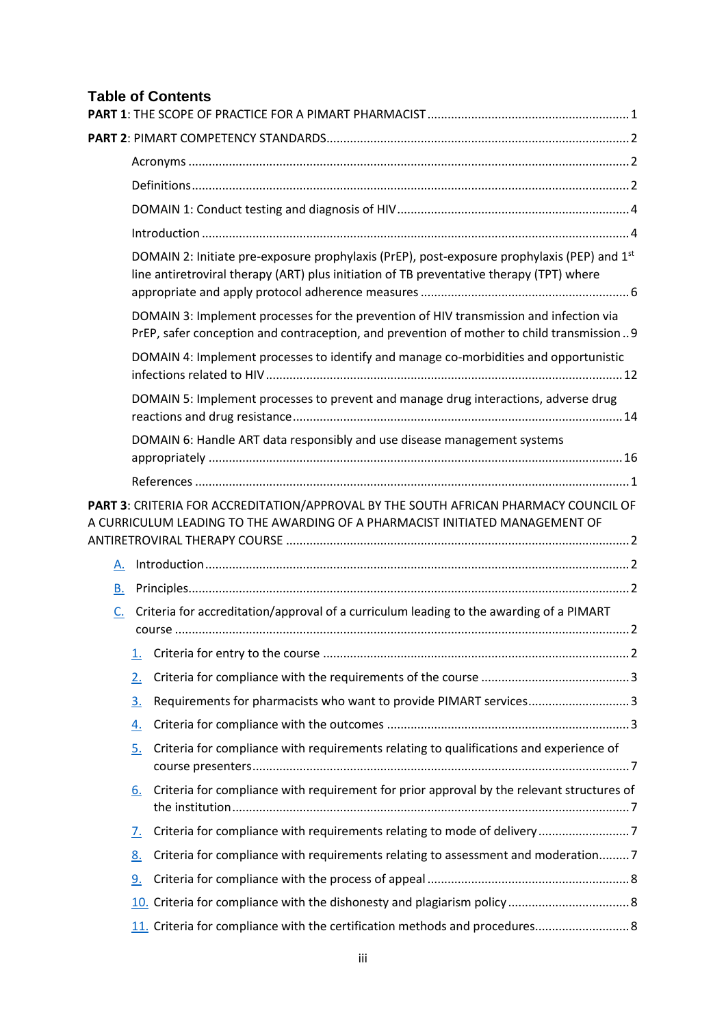# **Table of Contents**

|    | DOMAIN 2: Initiate pre-exposure prophylaxis (PrEP), post-exposure prophylaxis (PEP) and 1st<br>line antiretroviral therapy (ART) plus initiation of TB preventative therapy (TPT) where |  |
|----|-----------------------------------------------------------------------------------------------------------------------------------------------------------------------------------------|--|
|    | DOMAIN 3: Implement processes for the prevention of HIV transmission and infection via<br>PrEP, safer conception and contraception, and prevention of mother to child transmission9     |  |
|    | DOMAIN 4: Implement processes to identify and manage co-morbidities and opportunistic                                                                                                   |  |
|    | DOMAIN 5: Implement processes to prevent and manage drug interactions, adverse drug                                                                                                     |  |
|    | DOMAIN 6: Handle ART data responsibly and use disease management systems                                                                                                                |  |
|    |                                                                                                                                                                                         |  |
|    | PART 3: CRITERIA FOR ACCREDITATION/APPROVAL BY THE SOUTH AFRICAN PHARMACY COUNCIL OF<br>A CURRICULUM LEADING TO THE AWARDING OF A PHARMACIST INITIATED MANAGEMENT OF                    |  |
| А. |                                                                                                                                                                                         |  |
| В. |                                                                                                                                                                                         |  |
| C. | Criteria for accreditation/approval of a curriculum leading to the awarding of a PIMART                                                                                                 |  |
|    |                                                                                                                                                                                         |  |
|    | 2.                                                                                                                                                                                      |  |
|    | Requirements for pharmacists who want to provide PIMART services3<br><u>3.</u>                                                                                                          |  |
|    | 4.                                                                                                                                                                                      |  |
|    | Criteria for compliance with requirements relating to qualifications and experience of<br><u>5.</u>                                                                                     |  |
|    | Criteria for compliance with requirement for prior approval by the relevant structures of<br>6.                                                                                         |  |
|    | Criteria for compliance with requirements relating to mode of delivery7<br>7.                                                                                                           |  |
|    | Criteria for compliance with requirements relating to assessment and moderation7<br><u>8.</u>                                                                                           |  |
|    | <u>9.</u>                                                                                                                                                                               |  |
|    |                                                                                                                                                                                         |  |
|    | 11. Criteria for compliance with the certification methods and procedures 8                                                                                                             |  |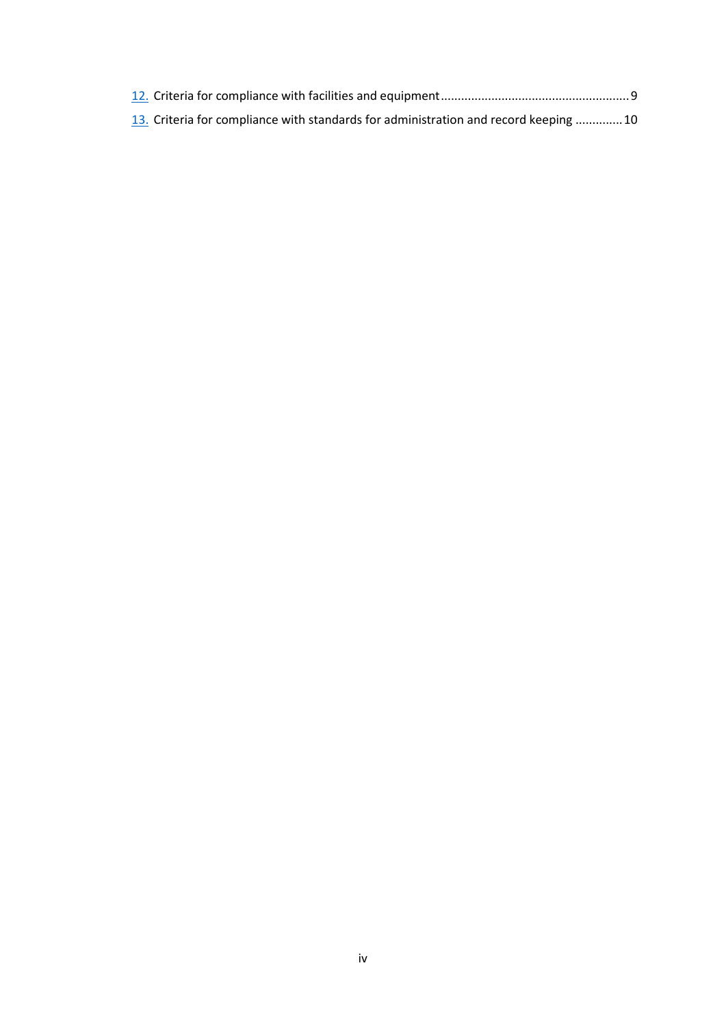| 13. Criteria for compliance with standards for administration and record keeping  10 |  |
|--------------------------------------------------------------------------------------|--|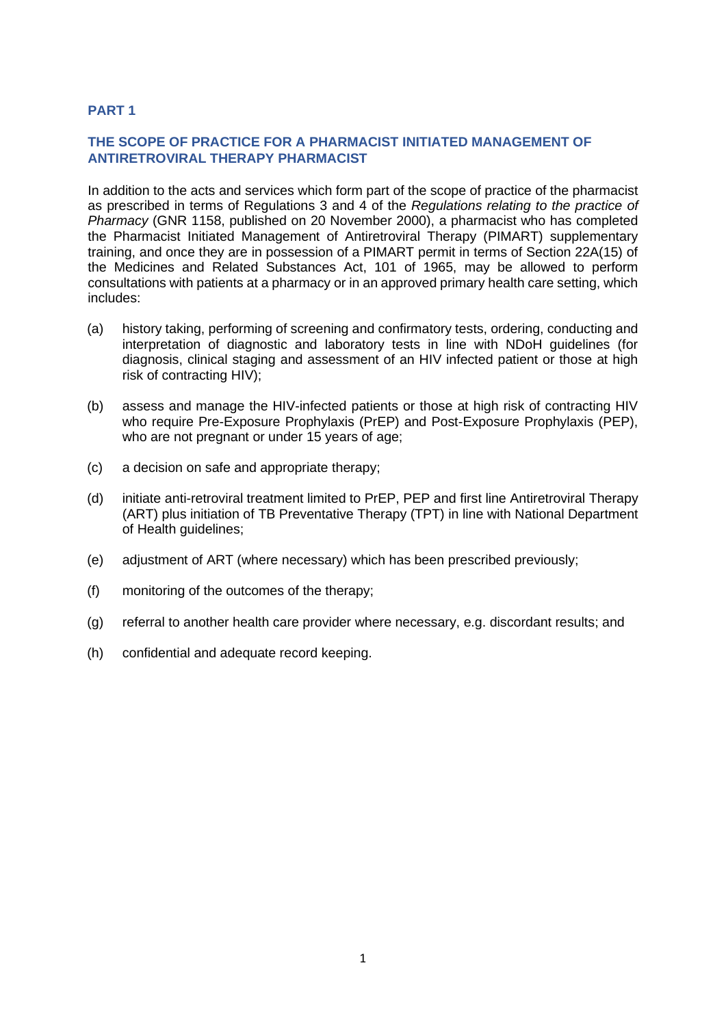# <span id="page-7-0"></span>**PART 1**

# **THE SCOPE OF PRACTICE FOR A PHARMACIST INITIATED MANAGEMENT OF ANTIRETROVIRAL THERAPY PHARMACIST**

In addition to the acts and services which form part of the scope of practice of the pharmacist as prescribed in terms of Regulations 3 and 4 of the *Regulations relating to the practice of Pharmacy* (GNR 1158, published on 20 November 2000), a pharmacist who has completed the Pharmacist Initiated Management of Antiretroviral Therapy (PIMART) supplementary training, and once they are in possession of a PIMART permit in terms of Section 22A(15) of the Medicines and Related Substances Act, 101 of 1965, may be allowed to perform consultations with patients at a pharmacy or in an approved primary health care setting, which includes:

- (a) history taking, performing of screening and confirmatory tests, ordering, conducting and interpretation of diagnostic and laboratory tests in line with NDoH guidelines (for diagnosis, clinical staging and assessment of an HIV infected patient or those at high risk of contracting HIV);
- (b) assess and manage the HIV-infected patients or those at high risk of contracting HIV who require Pre-Exposure Prophylaxis (PrEP) and Post-Exposure Prophylaxis (PEP), who are not pregnant or under 15 years of age;
- (c) a decision on safe and appropriate therapy;
- (d) initiate anti-retroviral treatment limited to PrEP, PEP and first line Antiretroviral Therapy (ART) plus initiation of TB Preventative Therapy (TPT) in line with National Department of Health guidelines;
- (e) adjustment of ART (where necessary) which has been prescribed previously;
- (f) monitoring of the outcomes of the therapy;
- (g) referral to another health care provider where necessary, e.g. discordant results; and
- (h) confidential and adequate record keeping.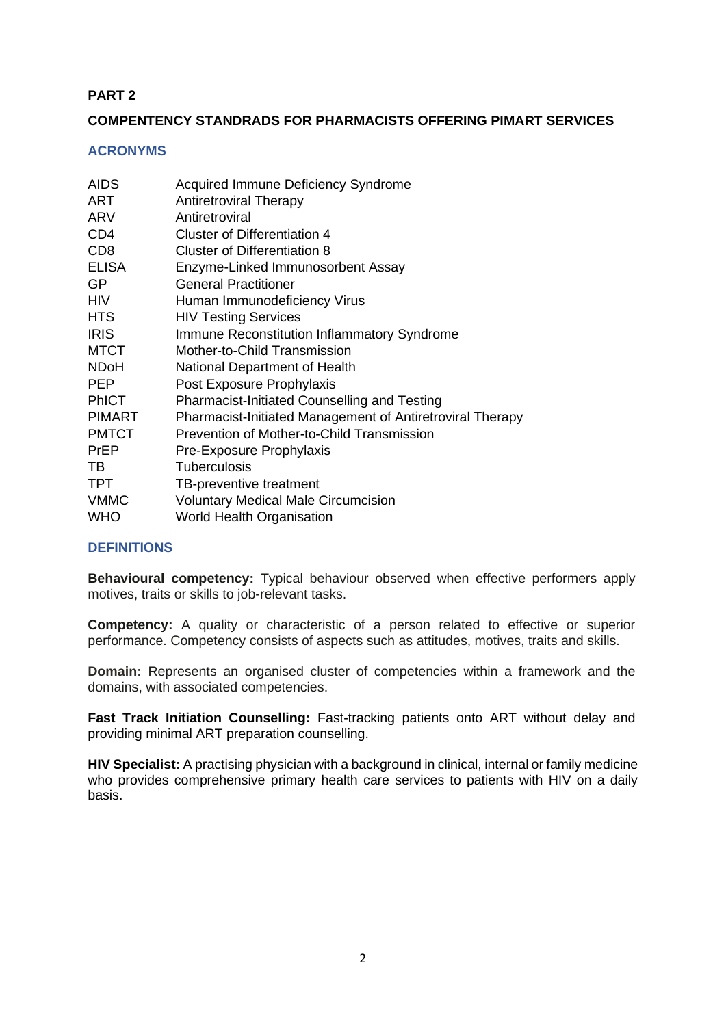# **PART 2**

# **COMPENTENCY STANDRADS FOR PHARMACISTS OFFERING PIMART SERVICES**

#### <span id="page-8-0"></span>**ACRONYMS**

| <b>AIDS</b>     | Acquired Immune Deficiency Syndrome                       |
|-----------------|-----------------------------------------------------------|
| <b>ART</b>      | <b>Antiretroviral Therapy</b>                             |
| ARV             | Antiretroviral                                            |
| CD <sub>4</sub> | <b>Cluster of Differentiation 4</b>                       |
| CD <sub>8</sub> | <b>Cluster of Differentiation 8</b>                       |
| <b>ELISA</b>    | Enzyme-Linked Immunosorbent Assay                         |
| GP              | <b>General Practitioner</b>                               |
| <b>HIV</b>      | Human Immunodeficiency Virus                              |
| <b>HTS</b>      | <b>HIV Testing Services</b>                               |
| <b>IRIS</b>     | Immune Reconstitution Inflammatory Syndrome               |
| <b>MTCT</b>     | Mother-to-Child Transmission                              |
| <b>NDoH</b>     | National Department of Health                             |
| <b>PEP</b>      | Post Exposure Prophylaxis                                 |
| <b>PhICT</b>    | <b>Pharmacist-Initiated Counselling and Testing</b>       |
| <b>PIMART</b>   | Pharmacist-Initiated Management of Antiretroviral Therapy |
| <b>PMTCT</b>    | <b>Prevention of Mother-to-Child Transmission</b>         |
| PrEP            | Pre-Exposure Prophylaxis                                  |
| TВ              | <b>Tuberculosis</b>                                       |
| <b>TPT</b>      | TB-preventive treatment                                   |
| <b>VMMC</b>     | <b>Voluntary Medical Male Circumcision</b>                |
| <b>WHO</b>      | World Health Organisation                                 |

#### <span id="page-8-1"></span>**DEFINITIONS**

**Behavioural competency:** Typical behaviour observed when effective performers apply motives, traits or skills to job-relevant tasks.

**Competency:** A quality or characteristic of a person related to effective or superior performance. Competency consists of aspects such as attitudes, motives, traits and skills.

**Domain:** Represents an organised cluster of competencies within a framework and the domains, with associated competencies.

**Fast Track Initiation Counselling:** Fast-tracking patients onto ART without delay and providing minimal ART preparation counselling.

**HIV Specialist:** A practising physician with a background in clinical, internal or family medicine who provides comprehensive primary health care services to patients with HIV on a daily basis.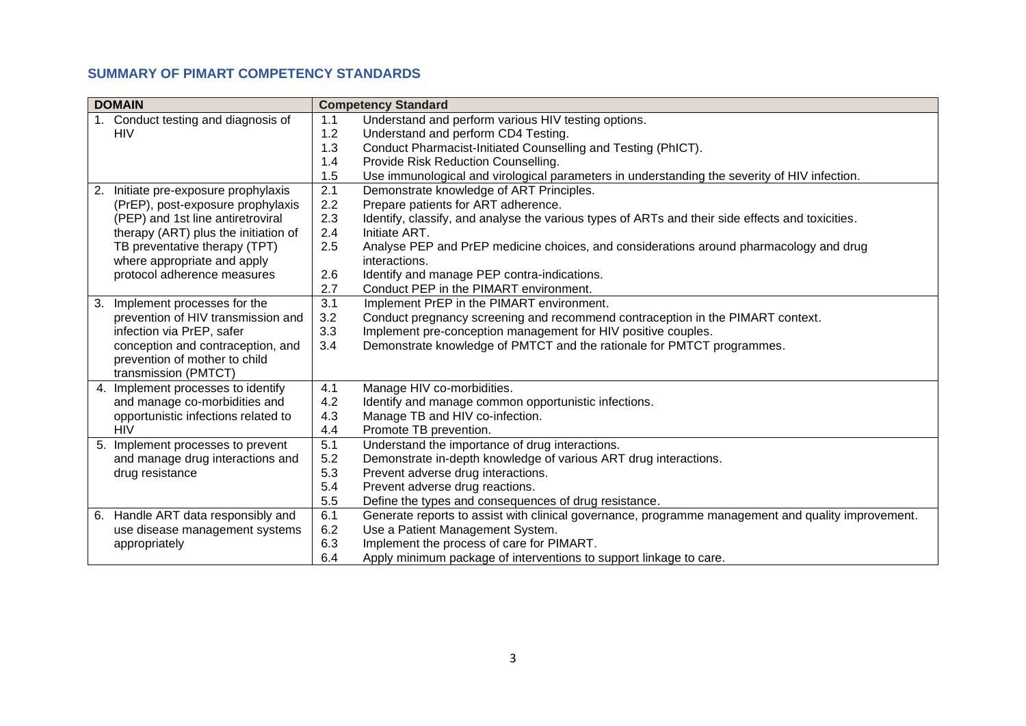# **SUMMARY OF PIMART COMPETENCY STANDARDS**

<span id="page-9-0"></span>

| <b>DOMAIN</b> |                                      |     | <b>Competency Standard</b>                                                                         |
|---------------|--------------------------------------|-----|----------------------------------------------------------------------------------------------------|
|               | 1. Conduct testing and diagnosis of  | 1.1 | Understand and perform various HIV testing options.                                                |
|               | <b>HIV</b>                           | 1.2 | Understand and perform CD4 Testing.                                                                |
|               |                                      | 1.3 | Conduct Pharmacist-Initiated Counselling and Testing (PhICT).                                      |
|               |                                      | 1.4 | Provide Risk Reduction Counselling.                                                                |
|               |                                      | 1.5 | Use immunological and virological parameters in understanding the severity of HIV infection.       |
| 2.            | Initiate pre-exposure prophylaxis    | 2.1 | Demonstrate knowledge of ART Principles.                                                           |
|               | (PrEP), post-exposure prophylaxis    | 2.2 | Prepare patients for ART adherence.                                                                |
|               | (PEP) and 1st line antiretroviral    | 2.3 | Identify, classify, and analyse the various types of ARTs and their side effects and toxicities.   |
|               | therapy (ART) plus the initiation of | 2.4 | Initiate ART.                                                                                      |
|               | TB preventative therapy (TPT)        | 2.5 | Analyse PEP and PrEP medicine choices, and considerations around pharmacology and drug             |
|               | where appropriate and apply          |     | interactions.                                                                                      |
|               | protocol adherence measures          | 2.6 | Identify and manage PEP contra-indications.                                                        |
|               |                                      | 2.7 | Conduct PEP in the PIMART environment.                                                             |
| 3.            | Implement processes for the          | 3.1 | Implement PrEP in the PIMART environment.                                                          |
|               | prevention of HIV transmission and   | 3.2 | Conduct pregnancy screening and recommend contraception in the PIMART context.                     |
|               | infection via PrEP, safer            | 3.3 | Implement pre-conception management for HIV positive couples.                                      |
|               | conception and contraception, and    | 3.4 | Demonstrate knowledge of PMTCT and the rationale for PMTCT programmes.                             |
|               | prevention of mother to child        |     |                                                                                                    |
|               | transmission (PMTCT)                 |     |                                                                                                    |
|               | 4. Implement processes to identify   | 4.1 | Manage HIV co-morbidities.                                                                         |
|               | and manage co-morbidities and        | 4.2 | Identify and manage common opportunistic infections.                                               |
|               | opportunistic infections related to  | 4.3 | Manage TB and HIV co-infection.                                                                    |
|               | <b>HIV</b>                           | 4.4 | Promote TB prevention.                                                                             |
|               | 5. Implement processes to prevent    | 5.1 | Understand the importance of drug interactions.                                                    |
|               | and manage drug interactions and     | 5.2 | Demonstrate in-depth knowledge of various ART drug interactions.                                   |
|               | drug resistance                      | 5.3 | Prevent adverse drug interactions.                                                                 |
|               |                                      | 5.4 | Prevent adverse drug reactions.                                                                    |
|               |                                      | 5.5 | Define the types and consequences of drug resistance.                                              |
|               | 6. Handle ART data responsibly and   | 6.1 | Generate reports to assist with clinical governance, programme management and quality improvement. |
|               | use disease management systems       | 6.2 | Use a Patient Management System.                                                                   |
|               | appropriately                        | 6.3 | Implement the process of care for PIMART.                                                          |
|               |                                      | 6.4 | Apply minimum package of interventions to support linkage to care.                                 |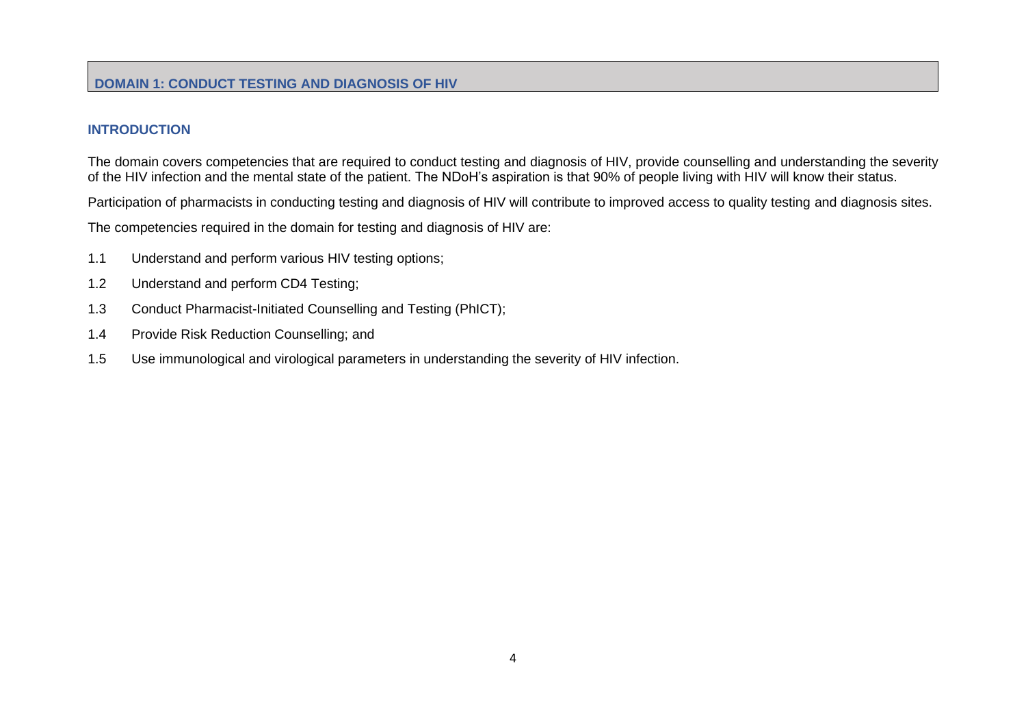# **INTRODUCTION**

The domain covers competencies that are required to conduct testing and diagnosis of HIV, provide counselling and understanding the severity of the HIV infection and the mental state of the patient. The NDoH's aspiration is that 90% of people living with HIV will know their status.

Participation of pharmacists in conducting testing and diagnosis of HIV will contribute to improved access to quality testing and diagnosis sites.

The competencies required in the domain for testing and diagnosis of HIV are:

- 1.1 Understand and perform various HIV testing options;
- 1.2 Understand and perform CD4 Testing;
- 1.3 Conduct Pharmacist-Initiated Counselling and Testing (PhICT);
- 1.4 Provide Risk Reduction Counselling; and
- <span id="page-10-1"></span><span id="page-10-0"></span>1.5 Use immunological and virological parameters in understanding the severity of HIV infection.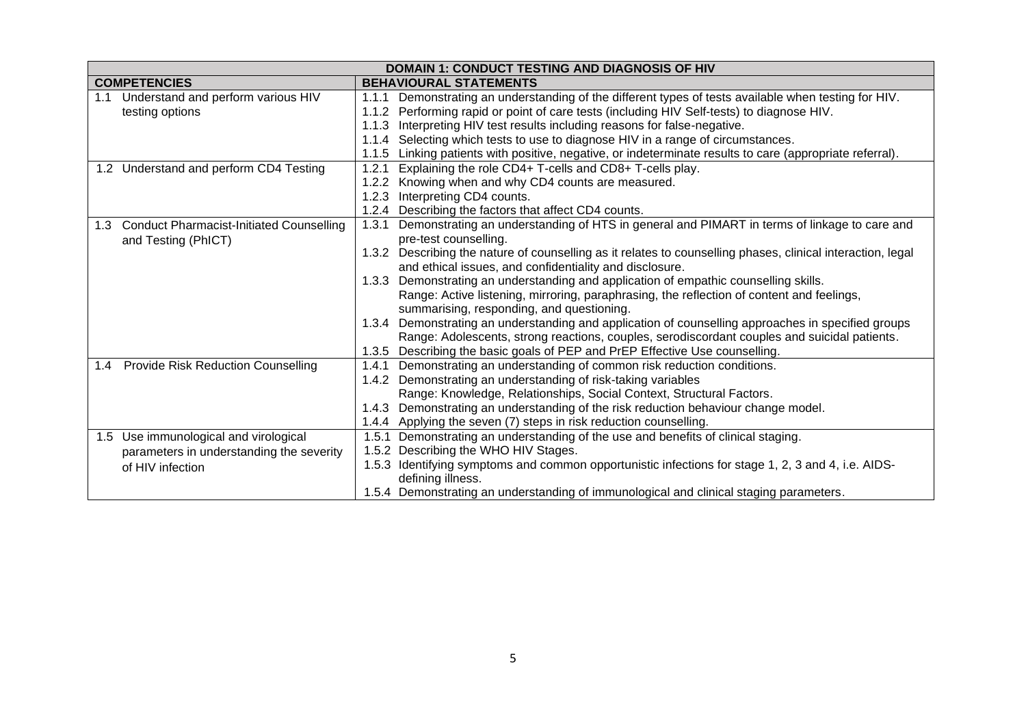| <b>DOMAIN 1: CONDUCT TESTING AND DIAGNOSIS OF HIV</b> |                                                                                                             |  |  |
|-------------------------------------------------------|-------------------------------------------------------------------------------------------------------------|--|--|
| <b>COMPETENCIES</b>                                   | <b>BEHAVIOURAL STATEMENTS</b>                                                                               |  |  |
| Understand and perform various HIV<br>1.1             | Demonstrating an understanding of the different types of tests available when testing for HIV.<br>1.1.1     |  |  |
| testing options                                       | 1.1.2 Performing rapid or point of care tests (including HIV Self-tests) to diagnose HIV.                   |  |  |
|                                                       | 1.1.3 Interpreting HIV test results including reasons for false-negative.                                   |  |  |
|                                                       | 1.1.4 Selecting which tests to use to diagnose HIV in a range of circumstances.                             |  |  |
|                                                       | 1.1.5 Linking patients with positive, negative, or indeterminate results to care (appropriate referral).    |  |  |
| 1.2 Understand and perform CD4 Testing                | Explaining the role CD4+ T-cells and CD8+ T-cells play.<br>1.2.1                                            |  |  |
|                                                       | 1.2.2 Knowing when and why CD4 counts are measured.                                                         |  |  |
|                                                       | 1.2.3 Interpreting CD4 counts.                                                                              |  |  |
|                                                       | 1.2.4 Describing the factors that affect CD4 counts.                                                        |  |  |
| 1.3 Conduct Pharmacist-Initiated Counselling          | Demonstrating an understanding of HTS in general and PIMART in terms of linkage to care and<br>1.3.1        |  |  |
| and Testing (PhICT)                                   | pre-test counselling.                                                                                       |  |  |
|                                                       | 1.3.2 Describing the nature of counselling as it relates to counselling phases, clinical interaction, legal |  |  |
|                                                       | and ethical issues, and confidentiality and disclosure.                                                     |  |  |
|                                                       | Demonstrating an understanding and application of empathic counselling skills.<br>1.3.3                     |  |  |
|                                                       | Range: Active listening, mirroring, paraphrasing, the reflection of content and feelings,                   |  |  |
|                                                       | summarising, responding, and questioning.                                                                   |  |  |
|                                                       | 1.3.4 Demonstrating an understanding and application of counselling approaches in specified groups          |  |  |
|                                                       | Range: Adolescents, strong reactions, couples, serodiscordant couples and suicidal patients.                |  |  |
|                                                       | 1.3.5 Describing the basic goals of PEP and PrEP Effective Use counselling.                                 |  |  |
| 1.4 Provide Risk Reduction Counselling                | Demonstrating an understanding of common risk reduction conditions.<br>1.4.1                                |  |  |
|                                                       | 1.4.2 Demonstrating an understanding of risk-taking variables                                               |  |  |
|                                                       | Range: Knowledge, Relationships, Social Context, Structural Factors.                                        |  |  |
|                                                       | 1.4.3 Demonstrating an understanding of the risk reduction behaviour change model.                          |  |  |
|                                                       | 1.4.4 Applying the seven (7) steps in risk reduction counselling.                                           |  |  |
| 1.5 Use immunological and virological                 | 1.5.1 Demonstrating an understanding of the use and benefits of clinical staging.                           |  |  |
| parameters in understanding the severity              | 1.5.2 Describing the WHO HIV Stages.                                                                        |  |  |
| of HIV infection                                      | 1.5.3 Identifying symptoms and common opportunistic infections for stage 1, 2, 3 and 4, i.e. AIDS-          |  |  |
|                                                       | defining illness.                                                                                           |  |  |
|                                                       | 1.5.4 Demonstrating an understanding of immunological and clinical staging parameters.                      |  |  |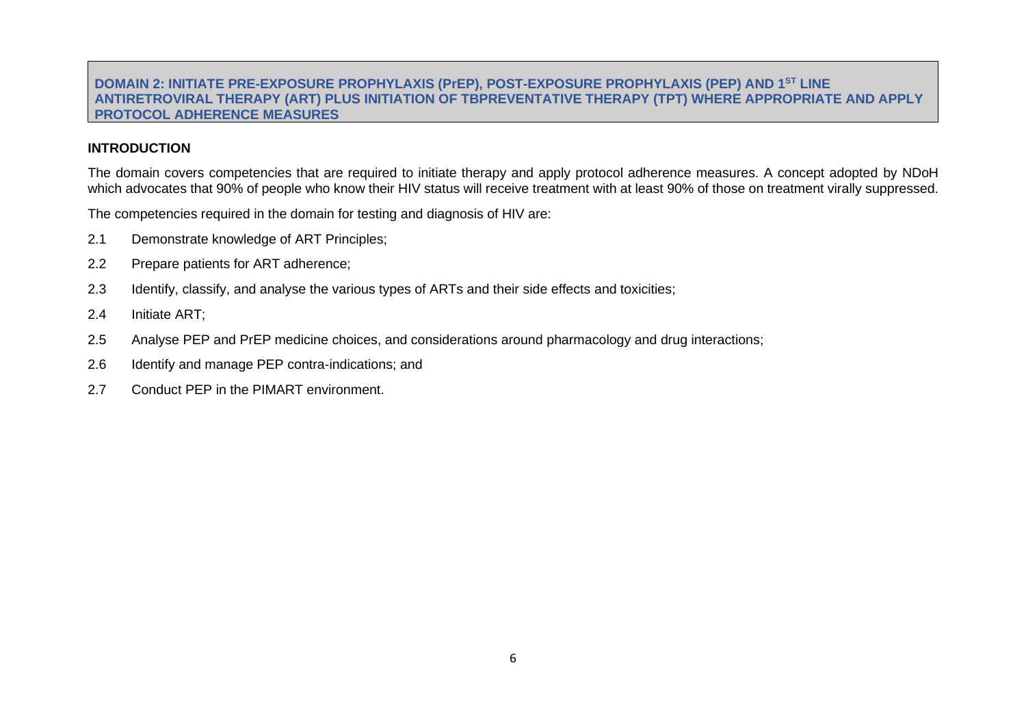#### **DOMAIN 2: INITIATE PRE-EXPOSURE PROPHYLAXIS (PrEP), POST-EXPOSURE PROPHYLAXIS (PEP) AND 1ST LINE ANTIRETROVIRAL THERAPY (ART) PLUS INITIATION OF TBPREVENTATIVE THERAPY (TPT) WHERE APPROPRIATE AND APPLY PROTOCOL ADHERENCE MEASURES**

#### **INTRODUCTION**

The domain covers competencies that are required to initiate therapy and apply protocol adherence measures. A concept adopted by NDoH which advocates that 90% of people who know their HIV status will receive treatment with at least 90% of those on treatment virally suppressed.

The competencies required in the domain for testing and diagnosis of HIV are:

- 2.1 Demonstrate knowledge of ART Principles;
- 2.2 Prepare patients for ART adherence;
- 2.3 Identify, classify, and analyse the various types of ARTs and their side effects and toxicities;
- 2.4 Initiate ART;
- 2.5 Analyse PEP and PrEP medicine choices, and considerations around pharmacology and drug interactions;
- <span id="page-12-0"></span>2.6 Identify and manage PEP contra-indications; and
- 2.7 Conduct PEP in the PIMART environment.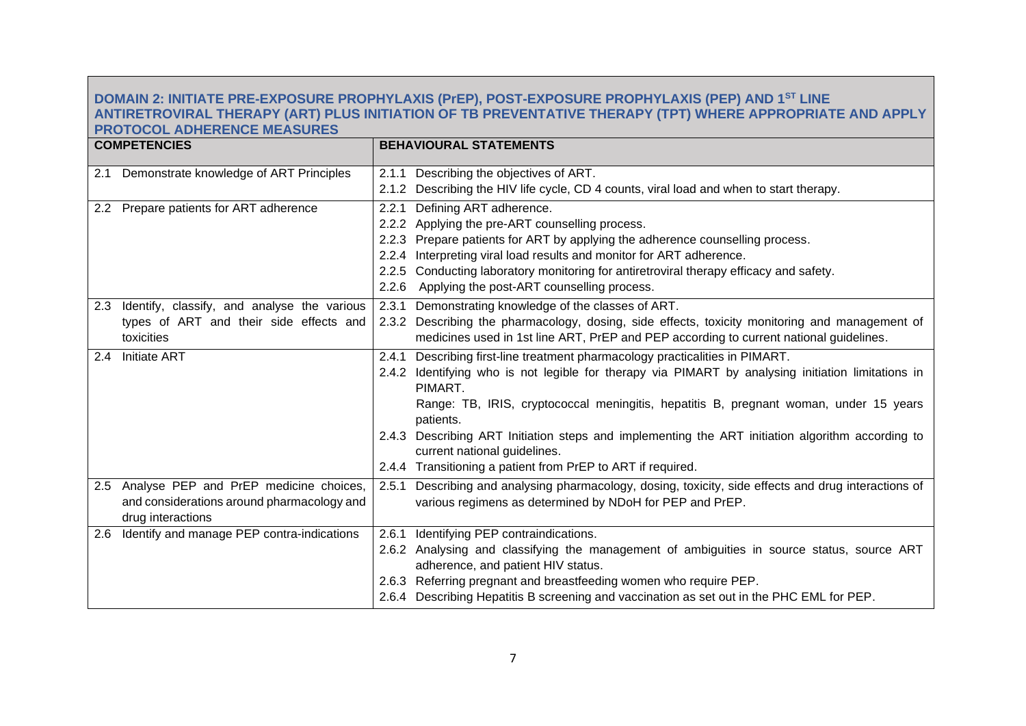#### **DOMAIN 2: INITIATE PRE-EXPOSURE PROPHYLAXIS (PrEP), POST-EXPOSURE PROPHYLAXIS (PEP) AND 1ST LINE ANTIRETROVIRAL THERAPY (ART) PLUS INITIATION OF TB PREVENTATIVE THERAPY (TPT) WHERE APPROPRIATE AND APPLY PROTOCOL ADHERENCE MEASURES**

| <b>COMPETENCIES</b>                                                                                           | <b>BEHAVIOURAL STATEMENTS</b>                                                                                                                                                                                                                                                                                                                                                                                                                                                                             |
|---------------------------------------------------------------------------------------------------------------|-----------------------------------------------------------------------------------------------------------------------------------------------------------------------------------------------------------------------------------------------------------------------------------------------------------------------------------------------------------------------------------------------------------------------------------------------------------------------------------------------------------|
| Demonstrate knowledge of ART Principles<br>2.1                                                                | 2.1.1 Describing the objectives of ART.<br>2.1.2 Describing the HIV life cycle, CD 4 counts, viral load and when to start therapy.                                                                                                                                                                                                                                                                                                                                                                        |
| 2.2 Prepare patients for ART adherence                                                                        | Defining ART adherence.<br>2.2.1<br>2.2.2 Applying the pre-ART counselling process.<br>2.2.3 Prepare patients for ART by applying the adherence counselling process.<br>2.2.4 Interpreting viral load results and monitor for ART adherence.<br>2.2.5 Conducting laboratory monitoring for antiretroviral therapy efficacy and safety.<br>2.2.6 Applying the post-ART counselling process.                                                                                                                |
| Identify, classify, and analyse the various<br>2.3<br>types of ART and their side effects and<br>toxicities   | 2.3.1 Demonstrating knowledge of the classes of ART.<br>2.3.2 Describing the pharmacology, dosing, side effects, toxicity monitoring and management of<br>medicines used in 1st line ART, PrEP and PEP according to current national guidelines.                                                                                                                                                                                                                                                          |
| 2.4 Initiate ART                                                                                              | Describing first-line treatment pharmacology practicalities in PIMART.<br>2.4.1<br>2.4.2 Identifying who is not legible for therapy via PIMART by analysing initiation limitations in<br>PIMART.<br>Range: TB, IRIS, cryptococcal meningitis, hepatitis B, pregnant woman, under 15 years<br>patients.<br>2.4.3 Describing ART Initiation steps and implementing the ART initiation algorithm according to<br>current national guidelines.<br>2.4.4 Transitioning a patient from PrEP to ART if required. |
| 2.5 Analyse PEP and PrEP medicine choices,<br>and considerations around pharmacology and<br>drug interactions | Describing and analysing pharmacology, dosing, toxicity, side effects and drug interactions of<br>2.5.1<br>various regimens as determined by NDoH for PEP and PrEP.                                                                                                                                                                                                                                                                                                                                       |
| 2.6 Identify and manage PEP contra-indications                                                                | 2.6.1 Identifying PEP contraindications.<br>2.6.2 Analysing and classifying the management of ambiguities in source status, source ART<br>adherence, and patient HIV status.<br>2.6.3 Referring pregnant and breastfeeding women who require PEP.<br>2.6.4 Describing Hepatitis B screening and vaccination as set out in the PHC EML for PEP.                                                                                                                                                            |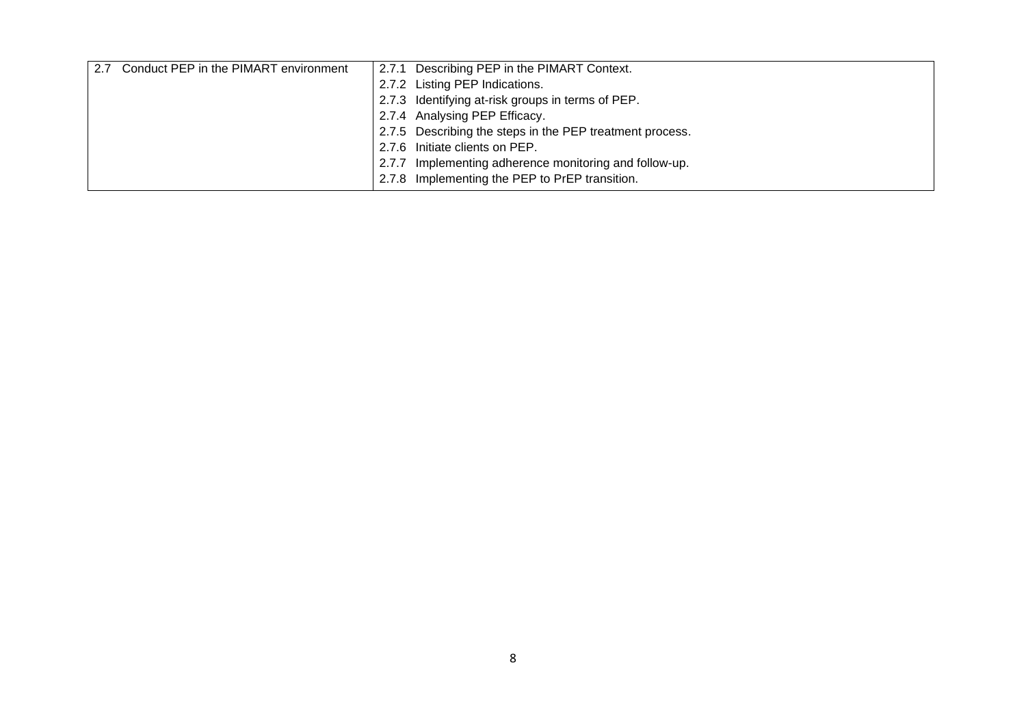| 2.7 Conduct PEP in the PIMART environment |       | 2.7.1 Describing PEP in the PIMART Context.              |
|-------------------------------------------|-------|----------------------------------------------------------|
|                                           |       | 2.7.2 Listing PEP Indications.                           |
|                                           |       | 2.7.3 Identifying at-risk groups in terms of PEP.        |
|                                           |       | 2.7.4 Analysing PEP Efficacy.                            |
|                                           |       | 2.7.5 Describing the steps in the PEP treatment process. |
|                                           |       | 2.7.6 Initiate clients on PEP.                           |
|                                           | 2.7.7 | Implementing adherence monitoring and follow-up.         |
|                                           |       | 2.7.8 Implementing the PEP to PrEP transition.           |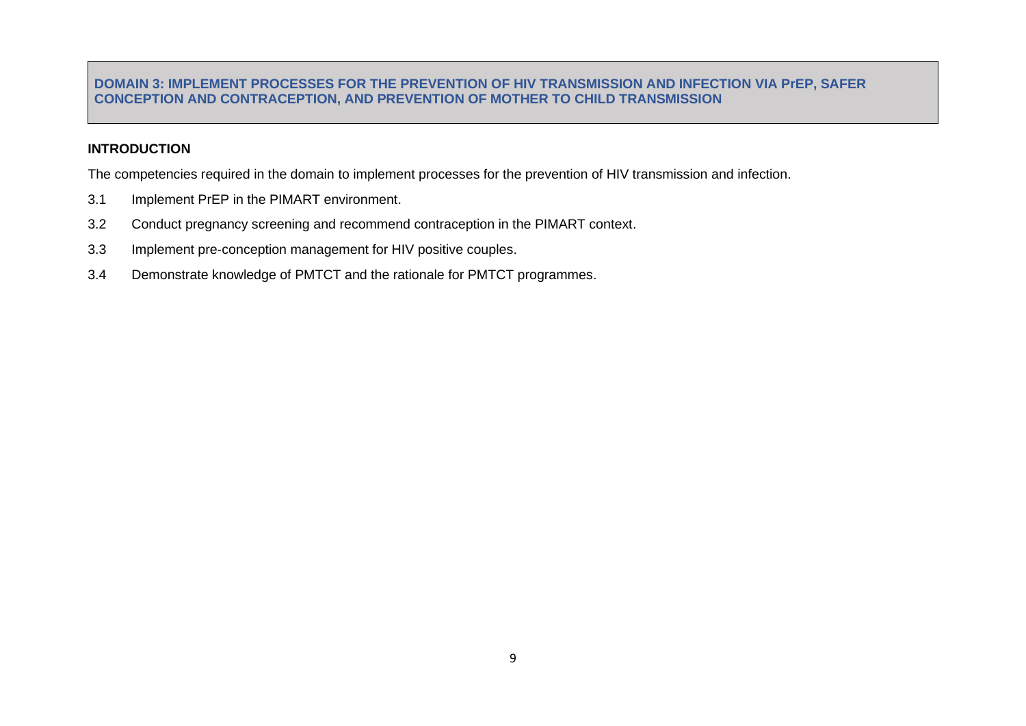#### **DOMAIN 3: IMPLEMENT PROCESSES FOR THE PREVENTION OF HIV TRANSMISSION AND INFECTION VIA PrEP, SAFER CONCEPTION AND CONTRACEPTION, AND PREVENTION OF MOTHER TO CHILD TRANSMISSION**

# **INTRODUCTION**

The competencies required in the domain to implement processes for the prevention of HIV transmission and infection.

- 3.1 Implement PrEP in the PIMART environment.
- 3.2 Conduct pregnancy screening and recommend contraception in the PIMART context.
- 3.3 Implement pre-conception management for HIV positive couples.
- <span id="page-15-0"></span>3.4 Demonstrate knowledge of PMTCT and the rationale for PMTCT programmes.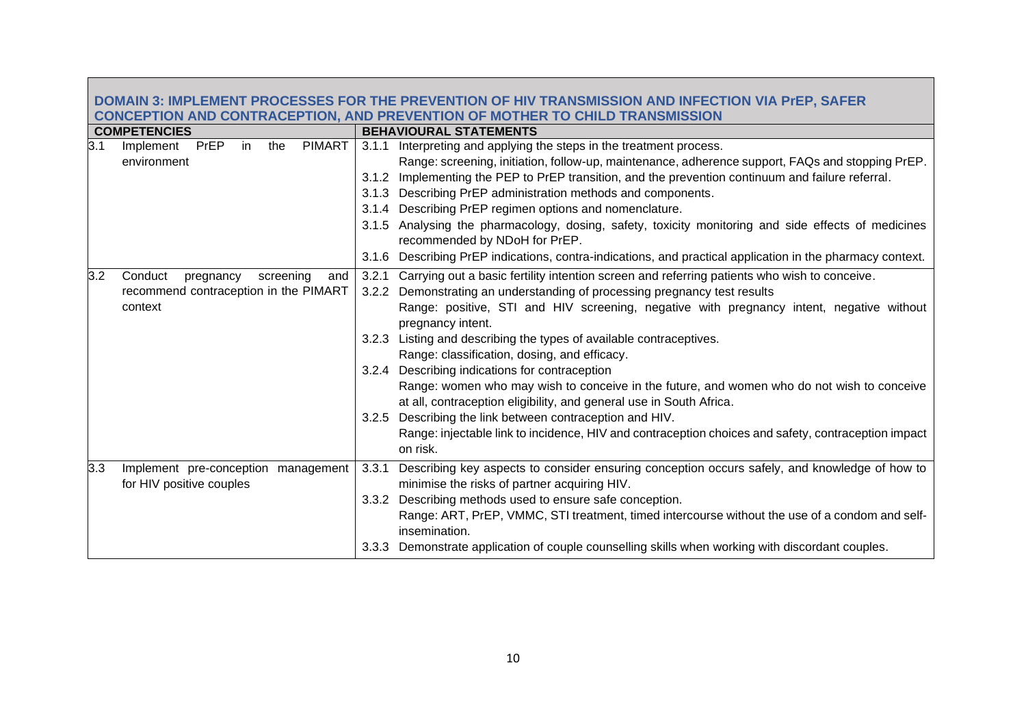| DOMAIN 3: IMPLEMENT PROCESSES FOR THE PREVENTION OF HIV TRANSMISSION AND INFECTION VIA PrEP, SAFER |                                                                                              |                                                                                                           |  |  |
|----------------------------------------------------------------------------------------------------|----------------------------------------------------------------------------------------------|-----------------------------------------------------------------------------------------------------------|--|--|
| <b>CONCEPTION AND CONTRACEPTION, AND PREVENTION OF MOTHER TO CHILD TRANSMISSION</b>                |                                                                                              |                                                                                                           |  |  |
|                                                                                                    | <b>BEHAVIOURAL STATEMENTS</b>                                                                |                                                                                                           |  |  |
|                                                                                                    |                                                                                              | Interpreting and applying the steps in the treatment process.                                             |  |  |
|                                                                                                    |                                                                                              | Range: screening, initiation, follow-up, maintenance, adherence support, FAQs and stopping PrEP.          |  |  |
|                                                                                                    |                                                                                              | 3.1.2 Implementing the PEP to PrEP transition, and the prevention continuum and failure referral.         |  |  |
|                                                                                                    |                                                                                              | 3.1.3 Describing PrEP administration methods and components.                                              |  |  |
|                                                                                                    |                                                                                              | 3.1.4 Describing PrEP regimen options and nomenclature.                                                   |  |  |
|                                                                                                    |                                                                                              | 3.1.5 Analysing the pharmacology, dosing, safety, toxicity monitoring and side effects of medicines       |  |  |
|                                                                                                    |                                                                                              | recommended by NDoH for PrEP.                                                                             |  |  |
|                                                                                                    |                                                                                              | 3.1.6 Describing PrEP indications, contra-indications, and practical application in the pharmacy context. |  |  |
| 3.2<br>Conduct<br>pregnancy<br>screening<br>and                                                    | 3.2.1                                                                                        | Carrying out a basic fertility intention screen and referring patients who wish to conceive.              |  |  |
| recommend contraception in the PIMART                                                              |                                                                                              | 3.2.2 Demonstrating an understanding of processing pregnancy test results                                 |  |  |
| context                                                                                            |                                                                                              | Range: positive, STI and HIV screening, negative with pregnancy intent, negative without                  |  |  |
|                                                                                                    |                                                                                              | pregnancy intent.                                                                                         |  |  |
|                                                                                                    |                                                                                              | 3.2.3 Listing and describing the types of available contraceptives.                                       |  |  |
|                                                                                                    |                                                                                              | Range: classification, dosing, and efficacy.                                                              |  |  |
|                                                                                                    |                                                                                              | 3.2.4 Describing indications for contraception                                                            |  |  |
|                                                                                                    |                                                                                              | Range: women who may wish to conceive in the future, and women who do not wish to conceive                |  |  |
|                                                                                                    |                                                                                              | at all, contraception eligibility, and general use in South Africa.                                       |  |  |
|                                                                                                    |                                                                                              | 3.2.5 Describing the link between contraception and HIV.                                                  |  |  |
|                                                                                                    |                                                                                              | Range: injectable link to incidence, HIV and contraception choices and safety, contraception impact       |  |  |
|                                                                                                    |                                                                                              | on risk.                                                                                                  |  |  |
| 3.3<br>Implement pre-conception management                                                         | 3.3.1                                                                                        | Describing key aspects to consider ensuring conception occurs safely, and knowledge of how to             |  |  |
| for HIV positive couples                                                                           |                                                                                              | minimise the risks of partner acquiring HIV.                                                              |  |  |
|                                                                                                    |                                                                                              | 3.3.2 Describing methods used to ensure safe conception.                                                  |  |  |
|                                                                                                    |                                                                                              | Range: ART, PrEP, VMMC, STI treatment, timed intercourse without the use of a condom and self-            |  |  |
|                                                                                                    |                                                                                              | insemination.                                                                                             |  |  |
|                                                                                                    |                                                                                              | 3.3.3 Demonstrate application of couple counselling skills when working with discordant couples.          |  |  |
|                                                                                                    | <b>COMPETENCIES</b><br>3.1<br>PrEP<br>in<br><b>PIMART</b><br>the<br>Implement<br>environment | 3.1.1                                                                                                     |  |  |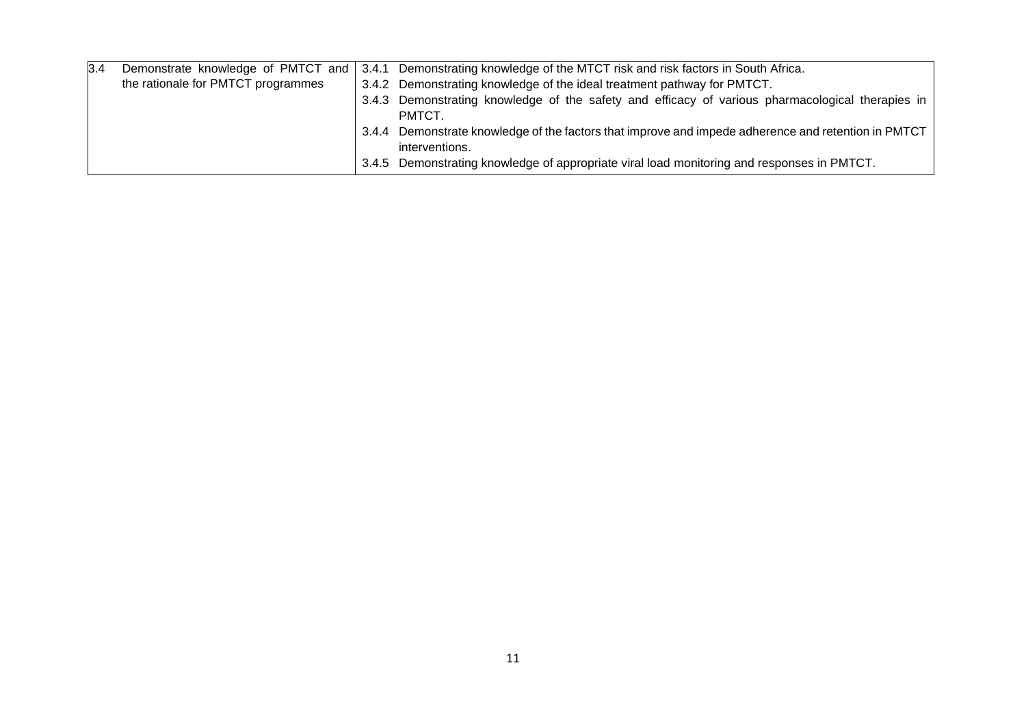| 3.4 | Demonstrate knowledge of PMTCT and | 3.4.1 Demonstrating knowledge of the MTCT risk and risk factors in South Africa.                                      |
|-----|------------------------------------|-----------------------------------------------------------------------------------------------------------------------|
|     | the rationale for PMTCT programmes | 3.4.2 Demonstrating knowledge of the ideal treatment pathway for PMTCT.                                               |
|     |                                    | 3.4.3 Demonstrating knowledge of the safety and efficacy of various pharmacological therapies in<br>PMTCT.            |
|     |                                    | 3.4.4 Demonstrate knowledge of the factors that improve and impede adherence and retention in PMTCT<br>interventions. |
|     |                                    | 3.4.5 Demonstrating knowledge of appropriate viral load monitoring and responses in PMTCT.                            |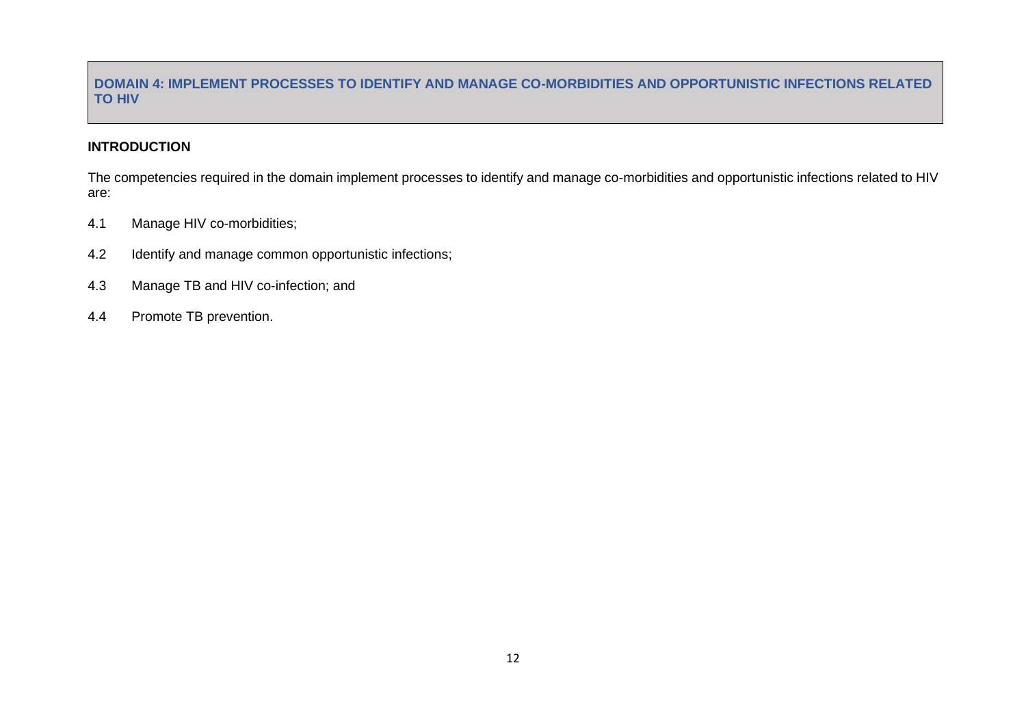# **DOMAIN 4: IMPLEMENT PROCESSES TO IDENTIFY AND MANAGE CO-MORBIDITIES AND OPPORTUNISTIC INFECTIONS RELATED TO HIV**

# **INTRODUCTION**

The competencies required in the domain implement processes to identify and manage co-morbidities and opportunistic infections related to HIV are:

- 4.1 Manage HIV co-morbidities;
- 4.2 Identify and manage common opportunistic infections;
- 4.3 Manage TB and HIV co-infection; and
- <span id="page-18-0"></span>4.4 Promote TB prevention.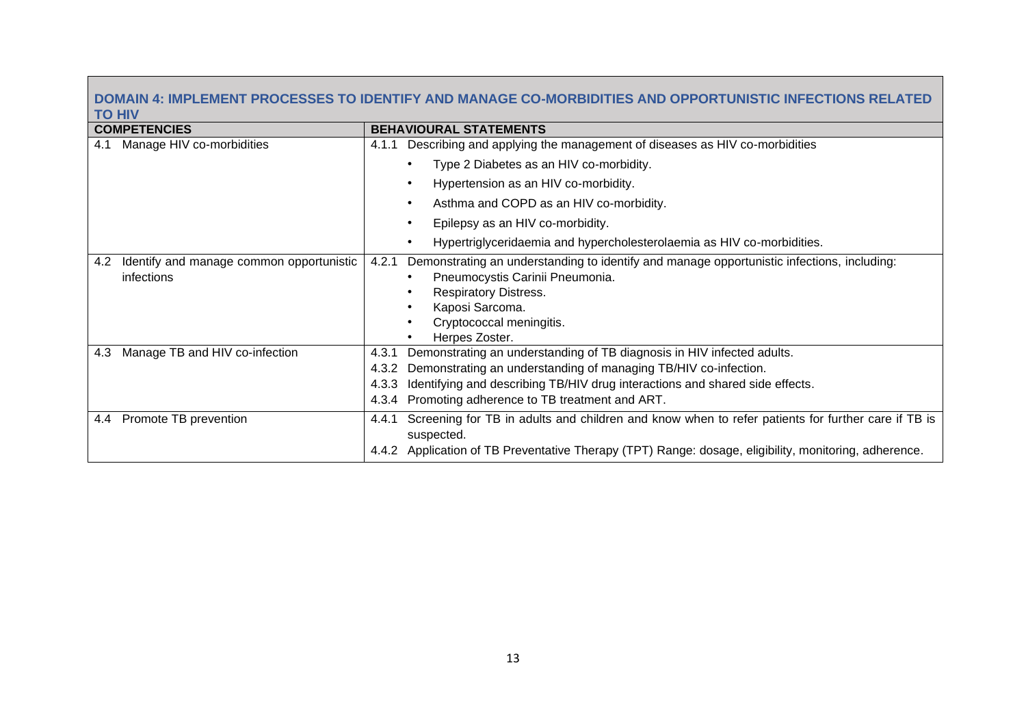# **DOMAIN 4: IMPLEMENT PROCESSES TO IDENTIFY AND MANAGE CO-MORBIDITIES AND OPPORTUNISTIC INFECTIONS RELATED TO HIV**

| <b>COMPETENCIES</b>                                           | <b>BEHAVIOURAL STATEMENTS</b>                                                                                                                                                                                                                                                                              |
|---------------------------------------------------------------|------------------------------------------------------------------------------------------------------------------------------------------------------------------------------------------------------------------------------------------------------------------------------------------------------------|
| Manage HIV co-morbidities<br>4.1                              | Describing and applying the management of diseases as HIV co-morbidities<br>4.1.1                                                                                                                                                                                                                          |
|                                                               | Type 2 Diabetes as an HIV co-morbidity.                                                                                                                                                                                                                                                                    |
|                                                               | Hypertension as an HIV co-morbidity.                                                                                                                                                                                                                                                                       |
|                                                               | Asthma and COPD as an HIV co-morbidity.<br>$\bullet$                                                                                                                                                                                                                                                       |
|                                                               | Epilepsy as an HIV co-morbidity.                                                                                                                                                                                                                                                                           |
|                                                               | Hypertriglyceridaemia and hypercholesterolaemia as HIV co-morbidities.                                                                                                                                                                                                                                     |
| Identify and manage common opportunistic<br>4.2<br>infections | Demonstrating an understanding to identify and manage opportunistic infections, including:<br>4.2.1<br>Pneumocystis Carinii Pneumonia.<br><b>Respiratory Distress.</b><br>Kaposi Sarcoma.<br>Cryptococcal meningitis.<br>Herpes Zoster.                                                                    |
| Manage TB and HIV co-infection<br>4.3                         | Demonstrating an understanding of TB diagnosis in HIV infected adults.<br>4.3.1<br>Demonstrating an understanding of managing TB/HIV co-infection.<br>4.3.2<br>Identifying and describing TB/HIV drug interactions and shared side effects.<br>4.3.3<br>4.3.4 Promoting adherence to TB treatment and ART. |
| 4.4 Promote TB prevention                                     | Screening for TB in adults and children and know when to refer patients for further care if TB is<br>4.4.1<br>suspected.<br>4.4.2 Application of TB Preventative Therapy (TPT) Range: dosage, eligibility, monitoring, adherence.                                                                          |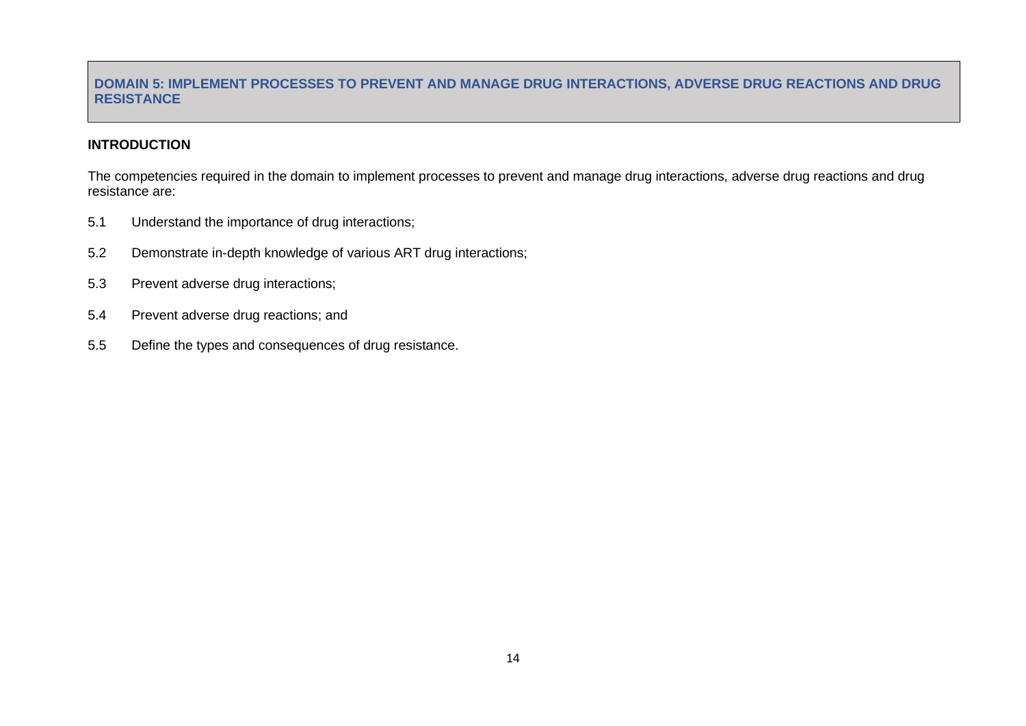#### **DOMAIN 5: IMPLEMENT PROCESSES TO PREVENT AND MANAGE DRUG INTERACTIONS, ADVERSE DRUG REACTIONS AND DRUG RESISTANCE**

#### **INTRODUCTION**

The competencies required in the domain to implement processes to prevent and manage drug interactions, adverse drug reactions and drug resistance are:

- 5.1 Understand the importance of drug interactions;
- 5.2 Demonstrate in-depth knowledge of various ART drug interactions;
- 5.3 Prevent adverse drug interactions;
- 5.4 Prevent adverse drug reactions; and
- <span id="page-20-0"></span>5.5 Define the types and consequences of drug resistance.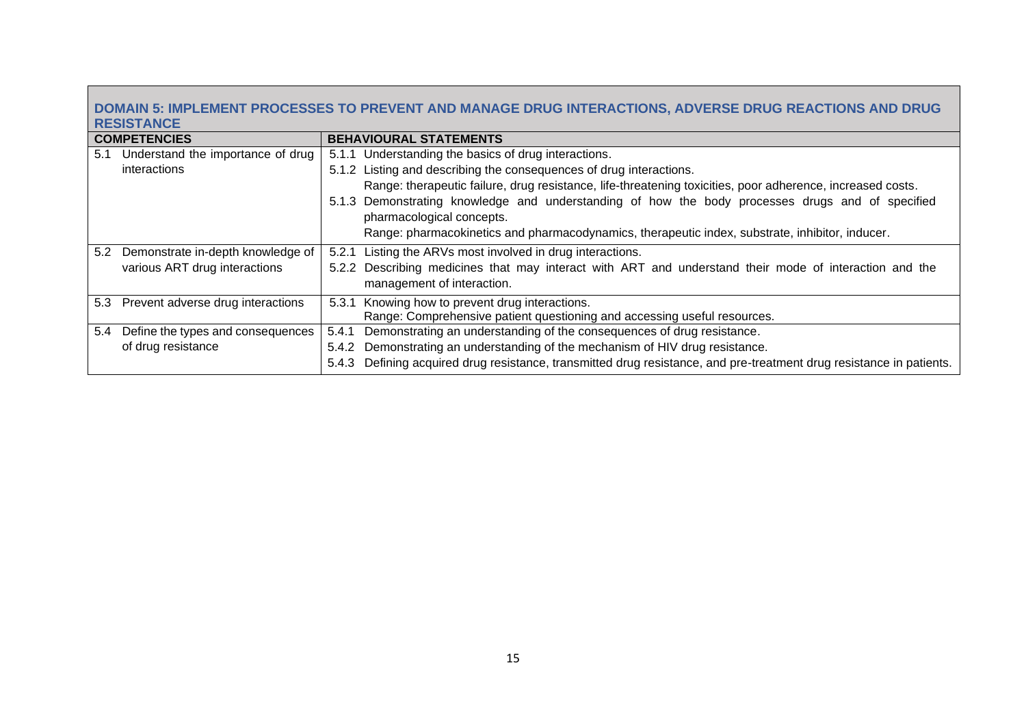# **DOMAIN 5: IMPLEMENT PROCESSES TO PREVENT AND MANAGE DRUG INTERACTIONS, ADVERSE DRUG REACTIONS AND DRUG RESISTANCE**

|     | <b>COMPETENCIES</b>                   | <b>BEHAVIOURAL STATEMENTS</b>                                                                                           |
|-----|---------------------------------------|-------------------------------------------------------------------------------------------------------------------------|
| 5.1 | Understand the importance of drug     | 5.1.1 Understanding the basics of drug interactions.                                                                    |
|     | interactions                          | 5.1.2 Listing and describing the consequences of drug interactions.                                                     |
|     |                                       | Range: therapeutic failure, drug resistance, life-threatening toxicities, poor adherence, increased costs.              |
|     |                                       | 5.1.3 Demonstrating knowledge and understanding of how the body processes drugs and of specified                        |
|     |                                       | pharmacological concepts.                                                                                               |
|     |                                       | Range: pharmacokinetics and pharmacodynamics, therapeutic index, substrate, inhibitor, inducer.                         |
|     | 5.2 Demonstrate in-depth knowledge of | 5.2.1 Listing the ARVs most involved in drug interactions.                                                              |
|     | various ART drug interactions         | 5.2.2 Describing medicines that may interact with ART and understand their mode of interaction and the                  |
|     |                                       | management of interaction.                                                                                              |
|     | 5.3 Prevent adverse drug interactions | 5.3.1 Knowing how to prevent drug interactions.                                                                         |
|     |                                       | Range: Comprehensive patient questioning and accessing useful resources.                                                |
| 5.4 | Define the types and consequences     | Demonstrating an understanding of the consequences of drug resistance.<br>5.4.1                                         |
|     | of drug resistance                    | Demonstrating an understanding of the mechanism of HIV drug resistance.<br>5.4.2                                        |
|     |                                       | Defining acquired drug resistance, transmitted drug resistance, and pre-treatment drug resistance in patients.<br>5.4.3 |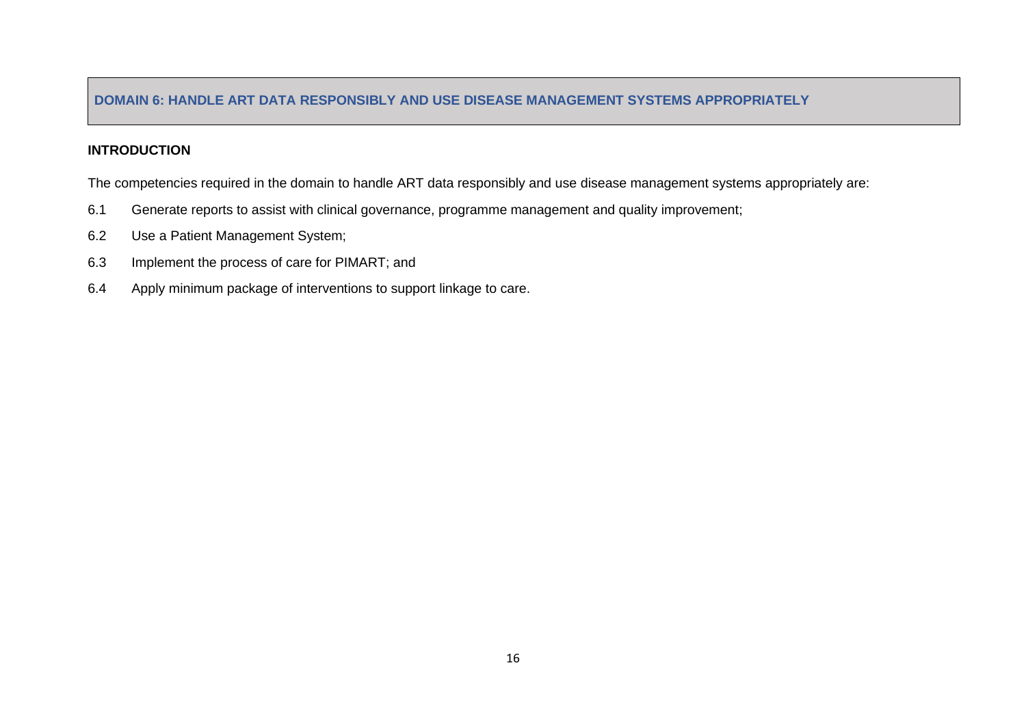#### **DOMAIN 6: HANDLE ART DATA RESPONSIBLY AND USE DISEASE MANAGEMENT SYSTEMS APPROPRIATELY**

#### **INTRODUCTION**

The competencies required in the domain to handle ART data responsibly and use disease management systems appropriately are:

- 6.1 Generate reports to assist with clinical governance, programme management and quality improvement;
- 6.2 Use a Patient Management System;
- 6.3 Implement the process of care for PIMART; and
- <span id="page-22-0"></span>6.4 Apply minimum package of interventions to support linkage to care.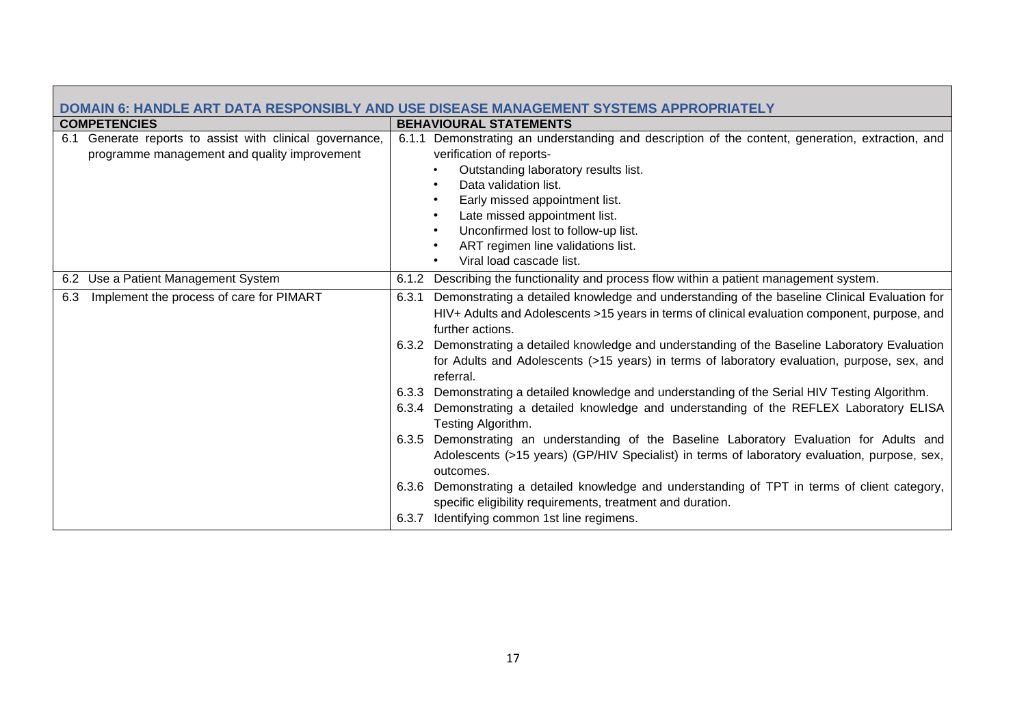| DOMAIN 6: HANDLE ART DATA RESPONSIBLY AND USE DISEASE MANAGEMENT SYSTEMS APPROPRIATELY |                                                                                                          |  |  |  |
|----------------------------------------------------------------------------------------|----------------------------------------------------------------------------------------------------------|--|--|--|
| <b>COMPETENCIES</b>                                                                    | <b>BEHAVIOURAL STATEMENTS</b>                                                                            |  |  |  |
| Generate reports to assist with clinical governance,<br>6.1                            | Demonstrating an understanding and description of the content, generation, extraction, and<br>6.1.1      |  |  |  |
| programme management and quality improvement                                           | verification of reports-                                                                                 |  |  |  |
|                                                                                        | Outstanding laboratory results list.                                                                     |  |  |  |
|                                                                                        | Data validation list.                                                                                    |  |  |  |
|                                                                                        | Early missed appointment list.                                                                           |  |  |  |
|                                                                                        | Late missed appointment list.                                                                            |  |  |  |
|                                                                                        | Unconfirmed lost to follow-up list.                                                                      |  |  |  |
|                                                                                        | ART regimen line validations list.                                                                       |  |  |  |
|                                                                                        | Viral load cascade list.                                                                                 |  |  |  |
| 6.2 Use a Patient Management System                                                    | 6.1.2 Describing the functionality and process flow within a patient management system.                  |  |  |  |
| Implement the process of care for PIMART<br>6.3                                        | Demonstrating a detailed knowledge and understanding of the baseline Clinical Evaluation for<br>6.3.1    |  |  |  |
|                                                                                        | HIV+ Adults and Adolescents >15 years in terms of clinical evaluation component, purpose, and            |  |  |  |
|                                                                                        | further actions.                                                                                         |  |  |  |
|                                                                                        | 6.3.2 Demonstrating a detailed knowledge and understanding of the Baseline Laboratory Evaluation         |  |  |  |
|                                                                                        | for Adults and Adolescents (>15 years) in terms of laboratory evaluation, purpose, sex, and<br>referral. |  |  |  |
|                                                                                        | 6.3.3 Demonstrating a detailed knowledge and understanding of the Serial HIV Testing Algorithm.          |  |  |  |
|                                                                                        | 6.3.4 Demonstrating a detailed knowledge and understanding of the REFLEX Laboratory ELISA                |  |  |  |
|                                                                                        | Testing Algorithm.                                                                                       |  |  |  |
|                                                                                        | 6.3.5 Demonstrating an understanding of the Baseline Laboratory Evaluation for Adults and                |  |  |  |
|                                                                                        | Adolescents (>15 years) (GP/HIV Specialist) in terms of laboratory evaluation, purpose, sex,             |  |  |  |
|                                                                                        | outcomes.                                                                                                |  |  |  |
|                                                                                        | 6.3.6 Demonstrating a detailed knowledge and understanding of TPT in terms of client category,           |  |  |  |
|                                                                                        | specific eligibility requirements, treatment and duration.                                               |  |  |  |
|                                                                                        | 6.3.7 Identifying common 1st line regimens.                                                              |  |  |  |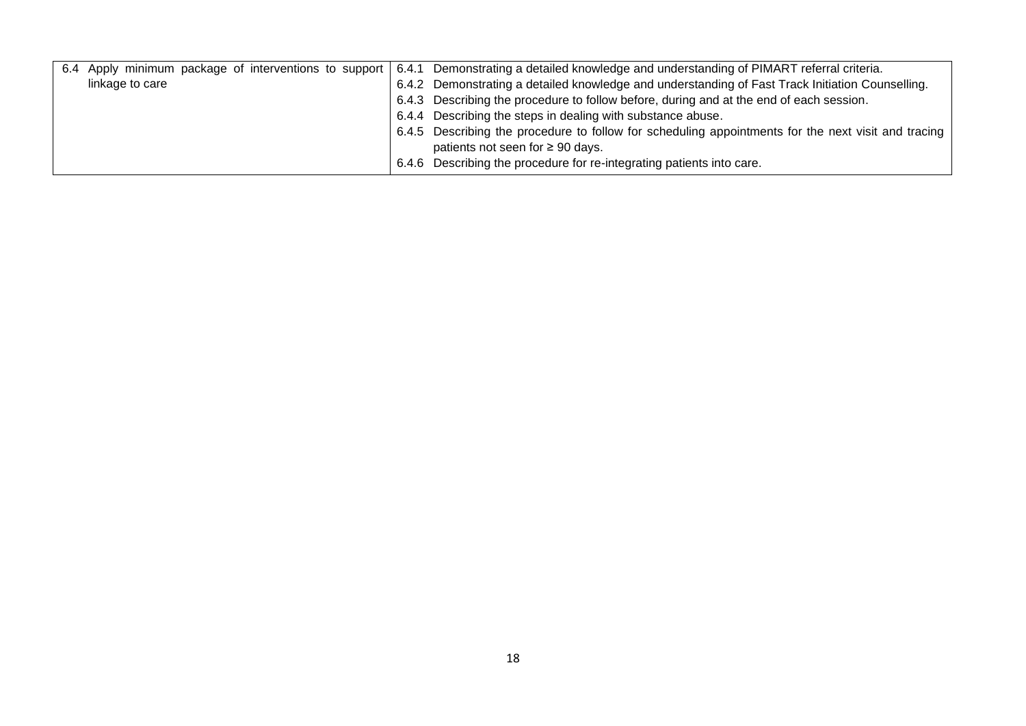| 6.4             | Apply minimum package of interventions to support 6.4.1 Demonstrating a detailed knowledge and understanding of PIMART referral criteria. |
|-----------------|-------------------------------------------------------------------------------------------------------------------------------------------|
| linkage to care | 6.4.2 Demonstrating a detailed knowledge and understanding of Fast Track Initiation Counselling.                                          |
|                 | 6.4.3 Describing the procedure to follow before, during and at the end of each session.                                                   |
|                 | 6.4.4 Describing the steps in dealing with substance abuse.                                                                               |
|                 | 6.4.5 Describing the procedure to follow for scheduling appointments for the next visit and tracing                                       |
|                 | patients not seen for $\geq 90$ days.                                                                                                     |
|                 | 6.4.6 Describing the procedure for re-integrating patients into care.                                                                     |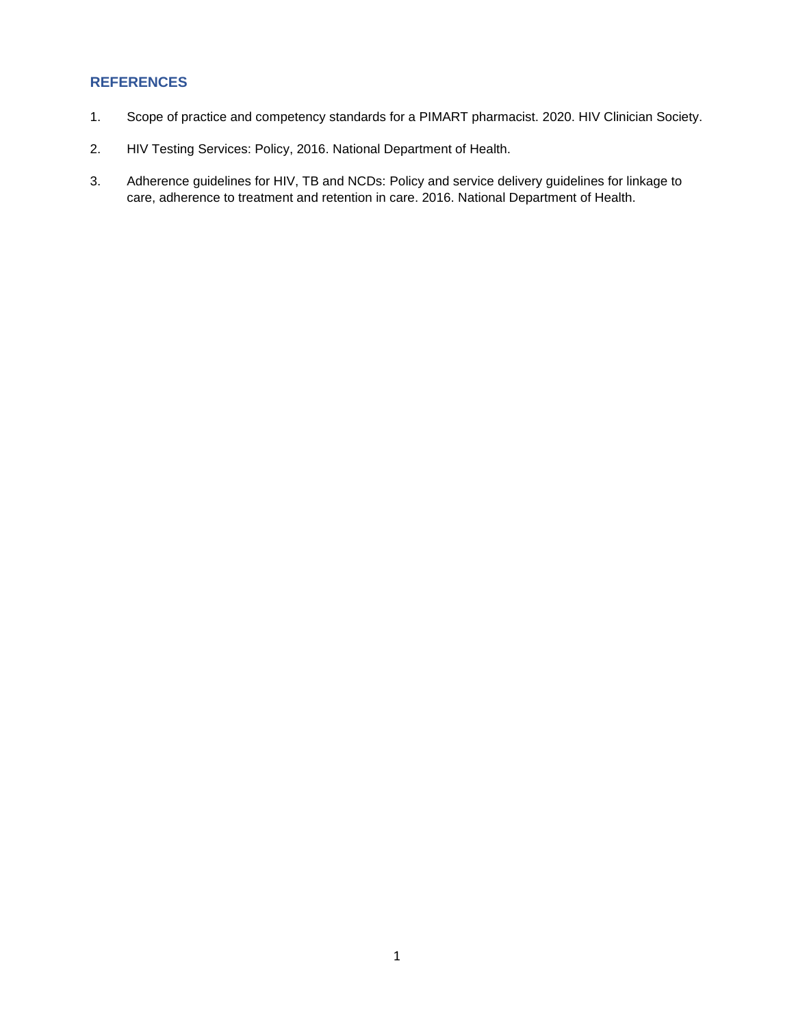#### **REFERENCES**

- 1. Scope of practice and competency standards for a PIMART pharmacist. 2020. HIV Clinician Society.
- <span id="page-25-0"></span>2. HIV Testing Services: Policy, 2016. National Department of Health.
- 3. Adherence guidelines for HIV, TB and NCDs: Policy and service delivery guidelines for linkage to care, adherence to treatment and retention in care. 2016. National Department of Health.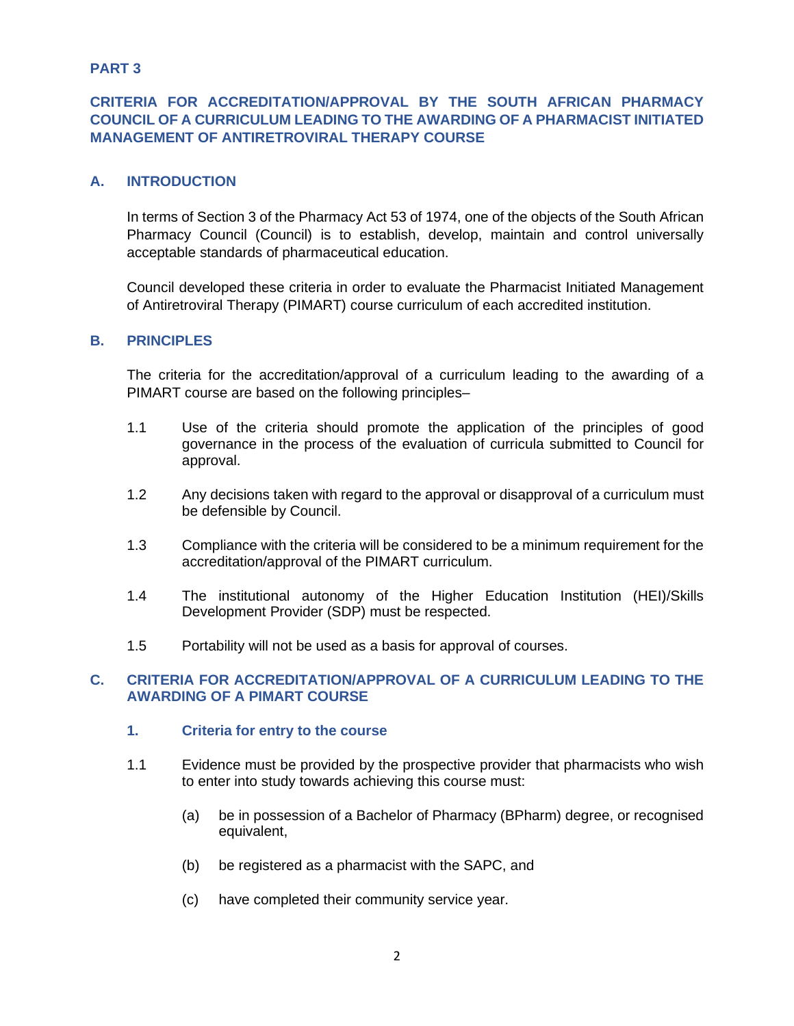#### **PART 3**

# <span id="page-26-0"></span>**CRITERIA FOR ACCREDITATION/APPROVAL BY THE SOUTH AFRICAN PHARMACY COUNCIL OF A CURRICULUM LEADING TO THE AWARDING OF A PHARMACIST INITIATED MANAGEMENT OF ANTIRETROVIRAL THERAPY COURSE**

#### **A. INTRODUCTION**

<span id="page-26-1"></span>In terms of Section 3 of the Pharmacy Act 53 of 1974, one of the objects of the South African Pharmacy Council (Council) is to establish, develop, maintain and control universally acceptable standards of pharmaceutical education.

Council developed these criteria in order to evaluate the Pharmacist Initiated Management of Antiretroviral Therapy (PIMART) course curriculum of each accredited institution.

#### **B. PRINCIPLES**

The criteria for the accreditation/approval of a curriculum leading to the awarding of a PIMART course are based on the following principles–

- <span id="page-26-2"></span>1.1 Use of the criteria should promote the application of the principles of good governance in the process of the evaluation of curricula submitted to Council for approval.
- 1.2 Any decisions taken with regard to the approval or disapproval of a curriculum must be defensible by Council.
- 1.3 Compliance with the criteria will be considered to be a minimum requirement for the accreditation/approval of the PIMART curriculum.
- 1.4 The institutional autonomy of the Higher Education Institution (HEI)/Skills Development Provider (SDP) must be respected.
- 1.5 Portability will not be used as a basis for approval of courses.

#### **C. CRITERIA FOR ACCREDITATION/APPROVAL OF A CURRICULUM LEADING TO THE AWARDING OF A PIMART COURSE**

- <span id="page-26-3"></span>**1. Criteria for entry to the course**
- <span id="page-26-4"></span>1.1 Evidence must be provided by the prospective provider that pharmacists who wish to enter into study towards achieving this course must:
	- (a) be in possession of a Bachelor of Pharmacy (BPharm) degree, or recognised equivalent,
	- (b) be registered as a pharmacist with the SAPC, and
	- (c) have completed their community service year.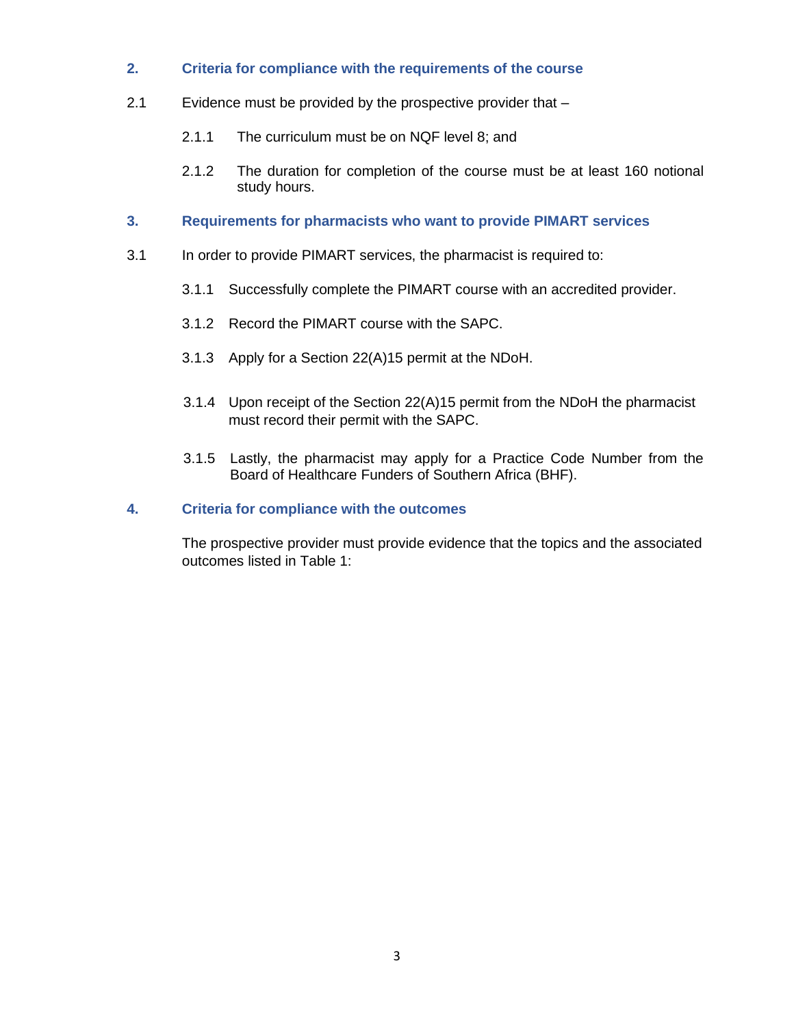- **2. Criteria for compliance with the requirements of the course**
- <span id="page-27-0"></span>2.1 Evidence must be provided by the prospective provider that –
	- 2.1.1 The curriculum must be on NQF level 8; and
	- 2.1.2 The duration for completion of the course must be at least 160 notional study hours.
- **3. Requirements for pharmacists who want to provide PIMART services**
- <span id="page-27-1"></span>3.1 In order to provide PIMART services, the pharmacist is required to:
	- 3.1.1 Successfully complete the PIMART course with an accredited provider.
	- 3.1.2 Record the PIMART course with the SAPC.
	- 3.1.3 Apply for a Section 22(A)15 permit at the NDoH.
	- 3.1.4 Upon receipt of the Section 22(A)15 permit from the NDoH the pharmacist must record their permit with the SAPC.
	- 3.1.5 Lastly, the pharmacist may apply for a Practice Code Number from the Board of Healthcare Funders of Southern Africa (BHF).

#### <span id="page-27-2"></span>**4. Criteria for compliance with the outcomes**

The prospective provider must provide evidence that the topics and the associated outcomes listed in Table 1: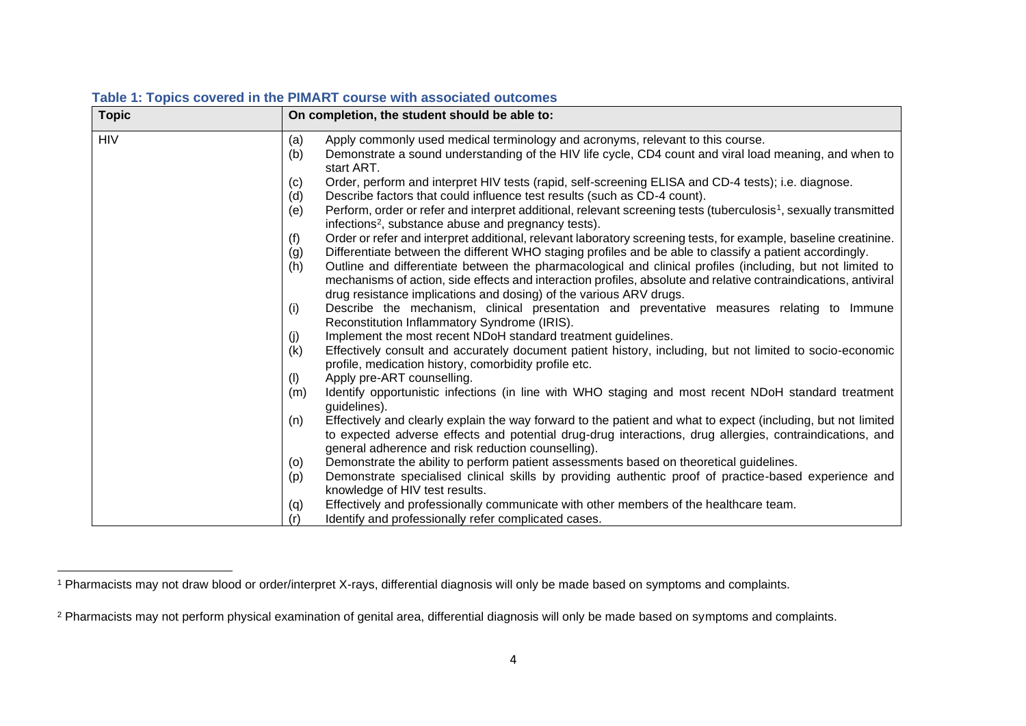| <b>Topic</b> | On completion, the student should be able to:                                                                                                                                                                                                                                          |
|--------------|----------------------------------------------------------------------------------------------------------------------------------------------------------------------------------------------------------------------------------------------------------------------------------------|
| <b>HIV</b>   | Apply commonly used medical terminology and acronyms, relevant to this course.<br>(a)<br>Demonstrate a sound understanding of the HIV life cycle, CD4 count and viral load meaning, and when to<br>(b)                                                                                 |
|              | start ART.<br>Order, perform and interpret HIV tests (rapid, self-screening ELISA and CD-4 tests); i.e. diagnose.<br>(c)                                                                                                                                                               |
|              | (d)<br>Describe factors that could influence test results (such as CD-4 count).                                                                                                                                                                                                        |
|              | Perform, order or refer and interpret additional, relevant screening tests (tuberculosis <sup>1</sup> , sexually transmitted<br>(e)<br>infections <sup>2</sup> , substance abuse and pregnancy tests).                                                                                 |
|              | Order or refer and interpret additional, relevant laboratory screening tests, for example, baseline creatinine.<br>(f)                                                                                                                                                                 |
|              | Differentiate between the different WHO staging profiles and be able to classify a patient accordingly.<br>(g)                                                                                                                                                                         |
|              | Outline and differentiate between the pharmacological and clinical profiles (including, but not limited to<br>(h)<br>mechanisms of action, side effects and interaction profiles, absolute and relative contraindications, antiviral                                                   |
|              | drug resistance implications and dosing) of the various ARV drugs.                                                                                                                                                                                                                     |
|              | Describe the mechanism, clinical presentation and preventative measures relating to Immune<br>(i)<br>Reconstitution Inflammatory Syndrome (IRIS).                                                                                                                                      |
|              | Implement the most recent NDoH standard treatment guidelines.<br>(j)                                                                                                                                                                                                                   |
|              | Effectively consult and accurately document patient history, including, but not limited to socio-economic<br>(k)                                                                                                                                                                       |
|              | profile, medication history, comorbidity profile etc.                                                                                                                                                                                                                                  |
|              | Apply pre-ART counselling.<br>(1)                                                                                                                                                                                                                                                      |
|              | Identify opportunistic infections (in line with WHO staging and most recent NDoH standard treatment<br>(m)<br>guidelines).                                                                                                                                                             |
|              | Effectively and clearly explain the way forward to the patient and what to expect (including, but not limited<br>(n)<br>to expected adverse effects and potential drug-drug interactions, drug allergies, contraindications, and<br>general adherence and risk reduction counselling). |
|              | Demonstrate the ability to perform patient assessments based on theoretical guidelines.<br>(0)                                                                                                                                                                                         |
|              | Demonstrate specialised clinical skills by providing authentic proof of practice-based experience and<br>(p)<br>knowledge of HIV test results.                                                                                                                                         |
|              | Effectively and professionally communicate with other members of the healthcare team.<br>(q)                                                                                                                                                                                           |
|              | (r)<br>Identify and professionally refer complicated cases.                                                                                                                                                                                                                            |

# **Table 1: Topics covered in the PIMART course with associated outcomes**

<sup>1</sup> Pharmacists may not draw blood or order/interpret X-rays, differential diagnosis will only be made based on symptoms and complaints.

<sup>&</sup>lt;sup>2</sup> Pharmacists may not perform physical examination of genital area, differential diagnosis will only be made based on symptoms and complaints.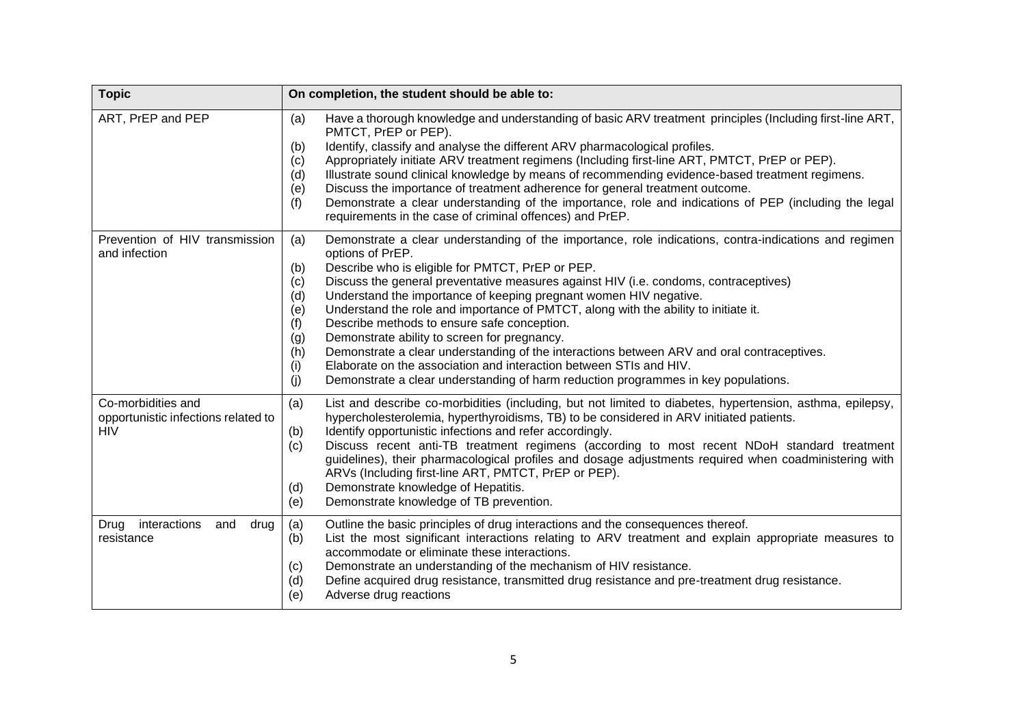| <b>Topic</b>                                                            | On completion, the student should be able to:                                                                                                                                                                                                                                                                                                                                                                                                                                                                                                                                                                                                                                                                                                                                                                                                                    |  |  |
|-------------------------------------------------------------------------|------------------------------------------------------------------------------------------------------------------------------------------------------------------------------------------------------------------------------------------------------------------------------------------------------------------------------------------------------------------------------------------------------------------------------------------------------------------------------------------------------------------------------------------------------------------------------------------------------------------------------------------------------------------------------------------------------------------------------------------------------------------------------------------------------------------------------------------------------------------|--|--|
| ART, PrEP and PEP                                                       | Have a thorough knowledge and understanding of basic ARV treatment principles (Including first-line ART,<br>(a)<br>PMTCT, PrEP or PEP).<br>Identify, classify and analyse the different ARV pharmacological profiles.<br>(b)<br>Appropriately initiate ARV treatment regimens (Including first-line ART, PMTCT, PrEP or PEP).<br>(c)<br>Illustrate sound clinical knowledge by means of recommending evidence-based treatment regimens.<br>(d)<br>Discuss the importance of treatment adherence for general treatment outcome.<br>(e)<br>Demonstrate a clear understanding of the importance, role and indications of PEP (including the legal<br>(f)<br>requirements in the case of criminal offences) and PrEP.                                                                                                                                                |  |  |
| Prevention of HIV transmission<br>and infection                         | Demonstrate a clear understanding of the importance, role indications, contra-indications and regimen<br>(a)<br>options of PrEP.<br>Describe who is eligible for PMTCT, PrEP or PEP.<br>(b)<br>Discuss the general preventative measures against HIV (i.e. condoms, contraceptives)<br>(c)<br>Understand the importance of keeping pregnant women HIV negative.<br>(d)<br>Understand the role and importance of PMTCT, along with the ability to initiate it.<br>(e)<br>Describe methods to ensure safe conception.<br>(f)<br>Demonstrate ability to screen for pregnancy.<br>(g)<br>Demonstrate a clear understanding of the interactions between ARV and oral contraceptives.<br>(h)<br>Elaborate on the association and interaction between STIs and HIV.<br>(i)<br>Demonstrate a clear understanding of harm reduction programmes in key populations.<br>(j) |  |  |
| Co-morbidities and<br>opportunistic infections related to<br><b>HIV</b> | (a)<br>List and describe co-morbidities (including, but not limited to diabetes, hypertension, asthma, epilepsy,<br>hypercholesterolemia, hyperthyroidisms, TB) to be considered in ARV initiated patients.<br>Identify opportunistic infections and refer accordingly.<br>(b)<br>Discuss recent anti-TB treatment regimens (according to most recent NDoH standard treatment<br>(c)<br>guidelines), their pharmacological profiles and dosage adjustments required when coadministering with<br>ARVs (Including first-line ART, PMTCT, PrEP or PEP).<br>Demonstrate knowledge of Hepatitis.<br>(d)<br>Demonstrate knowledge of TB prevention.<br>(e)                                                                                                                                                                                                            |  |  |
| Drug interactions<br>and<br>drug<br>resistance                          | Outline the basic principles of drug interactions and the consequences thereof.<br>(a)<br>List the most significant interactions relating to ARV treatment and explain appropriate measures to<br>(b)<br>accommodate or eliminate these interactions.<br>Demonstrate an understanding of the mechanism of HIV resistance.<br>(c)<br>Define acquired drug resistance, transmitted drug resistance and pre-treatment drug resistance.<br>(d)<br>Adverse drug reactions<br>(e)                                                                                                                                                                                                                                                                                                                                                                                      |  |  |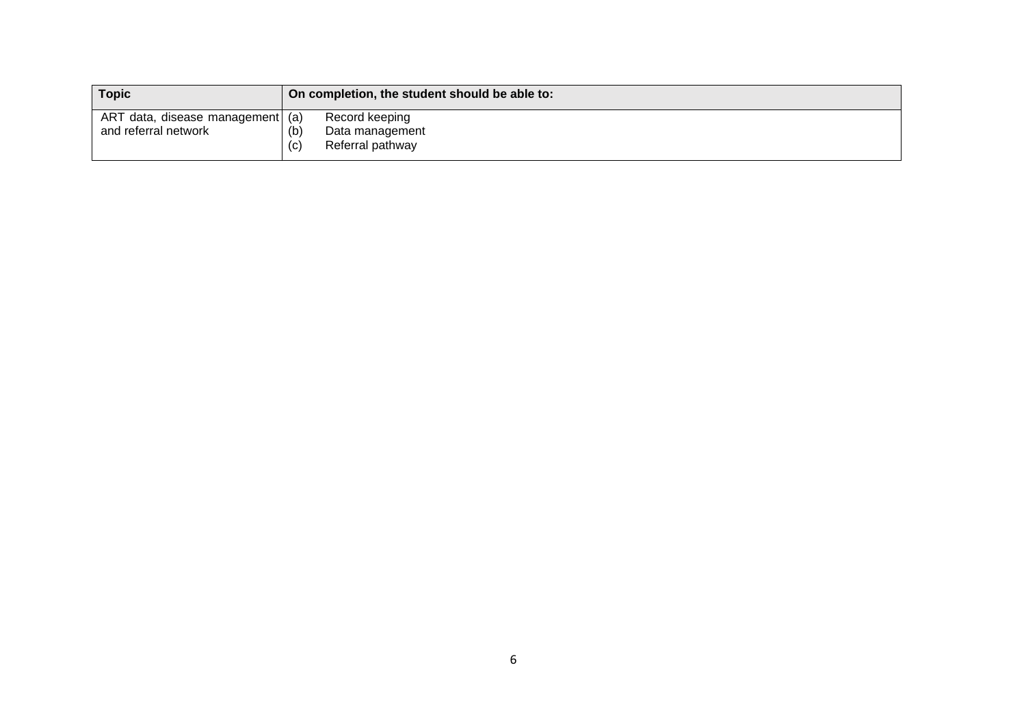| <b>Topic</b>                     | On completion, the student should be able to: |                  |
|----------------------------------|-----------------------------------------------|------------------|
| ART data, disease management (a) |                                               | Record keeping   |
| and referral network             | (b)                                           | Data management  |
|                                  | (c)                                           | Referral pathway |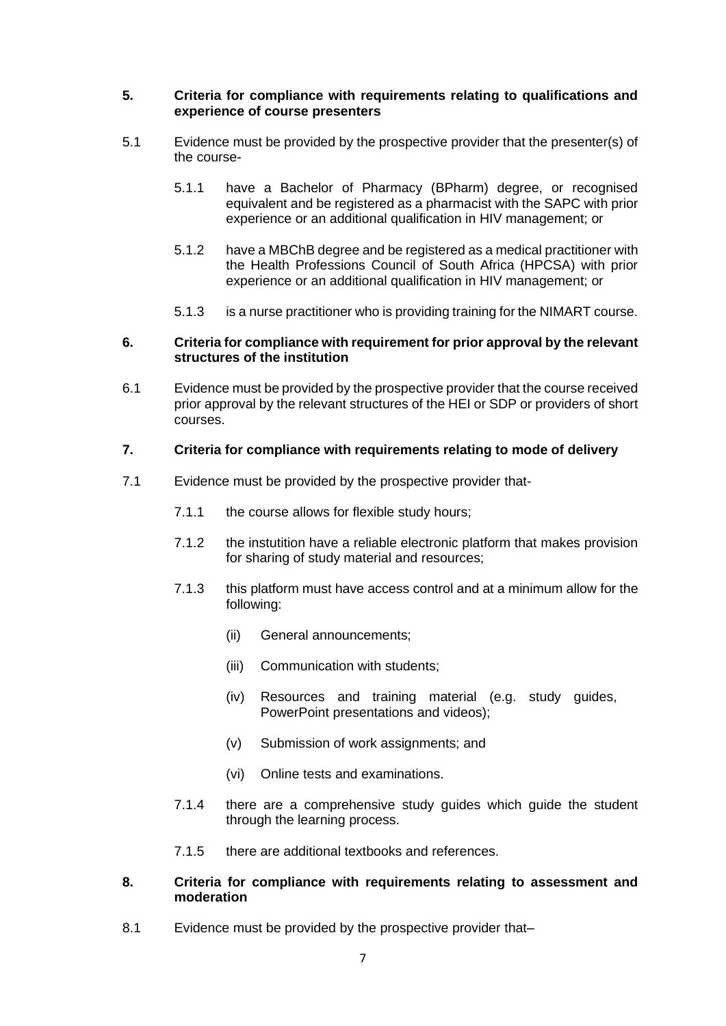#### <span id="page-31-0"></span>**5. Criteria for compliance with requirements relating to qualifications and experience of course presenters**

- 5.1 Evidence must be provided by the prospective provider that the presenter(s) of the course-
	- 5.1.1 have a Bachelor of Pharmacy (BPharm) degree, or recognised equivalent and be registered as a pharmacist with the SAPC with prior experience or an additional qualification in HIV management; or
	- 5.1.2 have a MBChB degree and be registered as a medical practitioner with the Health Professions Council of South Africa (HPCSA) with prior experience or an additional qualification in HIV management; or
	- 5.1.3 is a nurse practitioner who is providing training for the NIMART course.

#### <span id="page-31-1"></span>**6. Criteria for compliance with requirement for prior approval by the relevant structures of the institution**

6.1 Evidence must be provided by the prospective provider that the course received prior approval by the relevant structures of the HEI or SDP or providers of short courses.

#### <span id="page-31-2"></span>**7. Criteria for compliance with requirements relating to mode of delivery**

- 7.1 Evidence must be provided by the prospective provider that-
	- 7.1.1 the course allows for flexible study hours;
	- 7.1.2 the instutition have a reliable electronic platform that makes provision for sharing of study material and resources;
	- 7.1.3 this platform must have access control and at a minimum allow for the following:
		- (ii) General announcements;
		- (iii) Communication with students;
		- (iv) Resources and training material (e.g. study guides, PowerPoint presentations and videos);
		- (v) Submission of work assignments; and
		- (vi) Online tests and examinations.
	- 7.1.4 there are a comprehensive study guides which guide the student through the learning process.
	- 7.1.5 there are additional textbooks and references.

#### <span id="page-31-3"></span>**8. Criteria for compliance with requirements relating to assessment and moderation**

8.1 Evidence must be provided by the prospective provider that-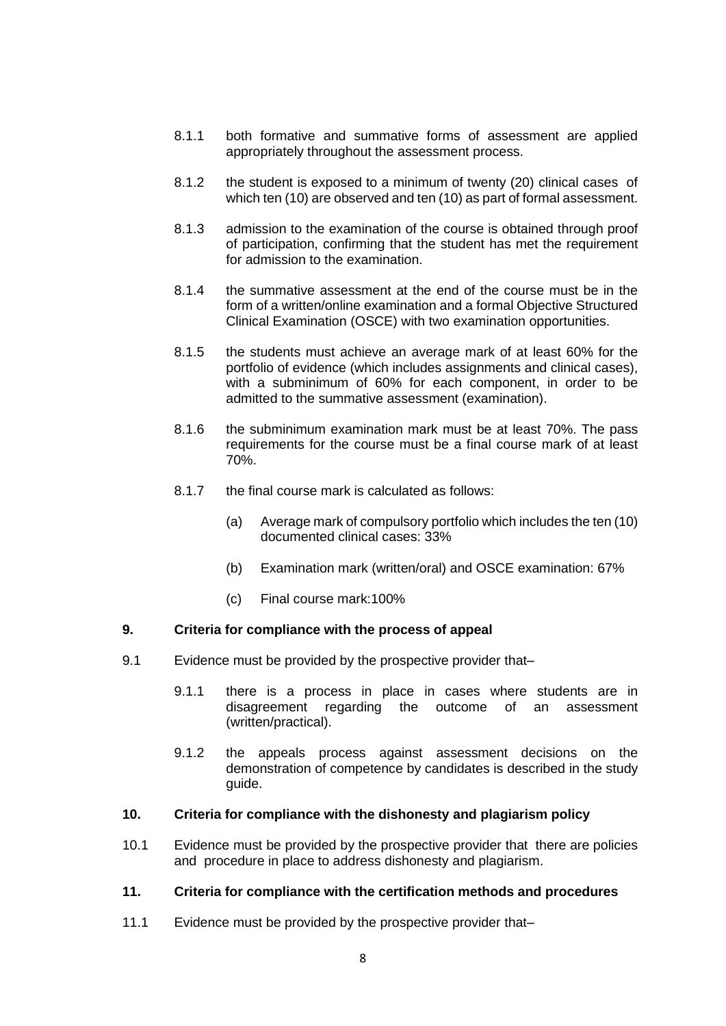- 8.1.1 both formative and summative forms of assessment are applied appropriately throughout the assessment process.
- 8.1.2 the student is exposed to a minimum of twenty (20) clinical cases of which ten (10) are observed and ten (10) as part of formal assessment.
- 8.1.3 admission to the examination of the course is obtained through proof of participation, confirming that the student has met the requirement for admission to the examination.
- 8.1.4 the summative assessment at the end of the course must be in the form of a written/online examination and a formal Objective Structured Clinical Examination (OSCE) with two examination opportunities.
- 8.1.5 the students must achieve an average mark of at least 60% for the portfolio of evidence (which includes assignments and clinical cases), with a subminimum of 60% for each component, in order to be admitted to the summative assessment (examination).
- 8.1.6 the subminimum examination mark must be at least 70%. The pass requirements for the course must be a final course mark of at least 70%.
- 8.1.7 the final course mark is calculated as follows:
	- (a) Average mark of compulsory portfolio which includes the ten (10) documented clinical cases: 33%
	- (b) Examination mark (written/oral) and OSCE examination: 67%
	- (c) Final course mark:100%

#### <span id="page-32-0"></span>**9. Criteria for compliance with the process of appeal**

- 9.1 Evidence must be provided by the prospective provider that–
	- 9.1.1 there is a process in place in cases where students are in disagreement regarding the outcome of an assessment (written/practical).
	- 9.1.2 the appeals process against assessment decisions on the demonstration of competence by candidates is described in the study guide.

#### <span id="page-32-1"></span>**10. Criteria for compliance with the dishonesty and plagiarism policy**

10.1 Evidence must be provided by the prospective provider that there are policies and procedure in place to address dishonesty and plagiarism.

# <span id="page-32-2"></span>**11. Criteria for compliance with the certification methods and procedures**

11.1 Evidence must be provided by the prospective provider that–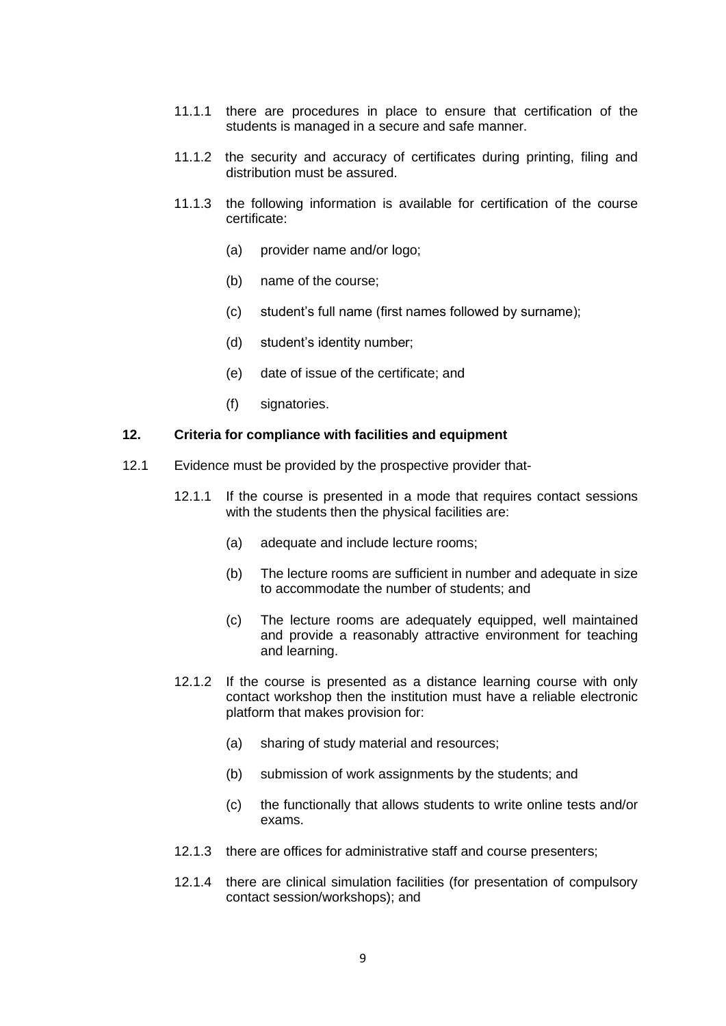- 11.1.1 there are procedures in place to ensure that certification of the students is managed in a secure and safe manner.
- 11.1.2 the security and accuracy of certificates during printing, filing and distribution must be assured.
- 11.1.3 the following information is available for certification of the course certificate:
	- (a) provider name and/or logo;
	- (b) name of the course;
	- (c) student's full name (first names followed by surname);
	- (d) student's identity number;
	- (e) date of issue of the certificate; and
	- (f) signatories.

#### <span id="page-33-0"></span>**12. Criteria for compliance with facilities and equipment**

- 12.1 Evidence must be provided by the prospective provider that-
	- 12.1.1 If the course is presented in a mode that requires contact sessions with the students then the physical facilities are:
		- (a) adequate and include lecture rooms;
		- (b) The lecture rooms are sufficient in number and adequate in size to accommodate the number of students; and
		- (c) The lecture rooms are adequately equipped, well maintained and provide a reasonably attractive environment for teaching and learning.
	- 12.1.2 If the course is presented as a distance learning course with only contact workshop then the institution must have a reliable electronic platform that makes provision for:
		- (a) sharing of study material and resources;
		- (b) submission of work assignments by the students; and
		- (c) the functionally that allows students to write online tests and/or exams.
	- 12.1.3 there are offices for administrative staff and course presenters;
	- 12.1.4 there are clinical simulation facilities (for presentation of compulsory contact session/workshops); and